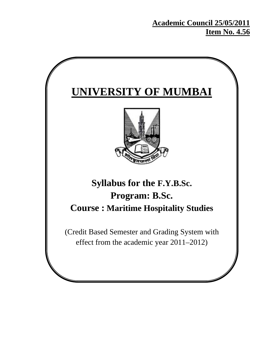# **Academic Council 25/05/2011 Item No. 4.56**

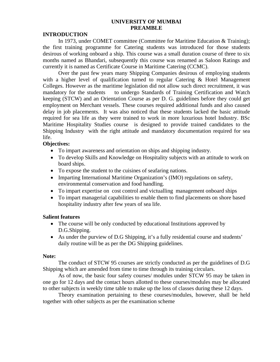## **UNIVERSITY OF MUMBAI PREAMBLE**

### **INTRODUCTION**

In 1973, under COMET committee (Committee for Maritime Education & Training); the first training programme for Catering students was introduced for those students desirous of working onboard a ship. This course was a small duration course of three to six months named as Bhandari, subsequently this course was renamed as Saloon Ratings and currently it is named as Certificate Course in Maritime Catering (CCMC).

Over the past few years many Shipping Companies desirous of employing students with a higher level of qualification turned to regular Catering & Hotel Management Colleges. However as the maritime legislation did not allow such direct recruitment, it was mandatory for the students to undergo Standards of Training Certification and Watch keeping (STCW) and an Orientation Course as per D. G. guidelines before they could get employment on Merchant vessels. These courses required additional funds and also caused delay in job placements. It was also noticed that these students lacked the basic attitude required for sea life as they were trained to work in more luxurious hotel Industry. BSc Maritime Hospitality Studies course is designed to provide trained candidates to the Shipping Industry with the right attitude and mandatory documentation required for sea life.

## **Objectives:**

- To impart awareness and orientation on ships and shipping industry.
- To develop Skills and Knowledge on Hospitality subjects with an attitude to work on board ships.
- To expose the student to the cuisines of seafaring nations.
- Imparting International Maritime Organization's (IMO) regulations on safety, environmental conservation and food handling.
- To impart expertise on cost control and victualling management onboard ships
- To impart managerial capabilities to enable them to find placements on shore based hospitality industry after few years of sea life.

## **Salient features**

- The course will be only conducted by educational Institutions approved by D.G.Shipping.
- As under the purview of D.G Shipping, it's a fully residential course and students' daily routine will be as per the DG Shipping guidelines.

#### **Note:**

The conduct of STCW 95 courses are strictly conducted as per the guidelines of D.G Shipping which are amended from time to time through its training circulars.

As of now, the basic four safety courses/ modules under STCW 95 may be taken in one go for 12 days and the contact hours allotted to these courses/modules may be allocated to other subjects in weekly time table to make up the loss of classes during these 12 days.

Theory examination pertaining to these courses/modules, however, shall be held together with other subjects as per the examination scheme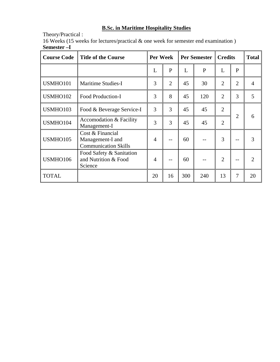# **B.Sc. in Maritime Hospitality Studies**

Theory/Practical :

16 Weeks (15 weeks for lectures/practical & one week for semester end examination ) **Semester –I** 

| <b>Course Code</b> | <b>Title of the Course</b>                                          |    | Per Week       |     | <b>Per Semester</b> |                     | <b>Credits</b> |                |
|--------------------|---------------------------------------------------------------------|----|----------------|-----|---------------------|---------------------|----------------|----------------|
|                    |                                                                     | L  | $\mathbf{P}$   | L   | $\mathbf{P}$        | L                   | P              |                |
| USMHO101           | <b>Maritime Studies-I</b>                                           | 3  | $\overline{2}$ | 45  | 30                  | $\overline{2}$      | $\overline{2}$ | $\overline{4}$ |
| USMHO102           | Food Production-I                                                   | 3  | 8              | 45  | 120                 | 3<br>$\overline{2}$ |                | 5              |
| USMHO103           | Food & Beverage Service-I                                           | 3  | 3              | 45  | 45                  | $\overline{2}$      |                |                |
| USMHO104           | Accomodation & Facility<br>Management-I                             | 3  | 3              | 45  | 45                  | $\overline{2}$      | $\overline{2}$ | 6              |
| USMHO105           | Cost & Financial<br>Management-I and<br><b>Communication Skills</b> | 4  |                | 60  |                     | 3                   |                | 3              |
| USMHO106           | Food Safety & Sanitation<br>and Nutrition & Food<br>Science         | 4  |                | 60  |                     | $\overline{2}$      |                | $\overline{2}$ |
| <b>TOTAL</b>       |                                                                     | 20 | 16             | 300 | 240                 | 13                  | $\overline{7}$ | 20             |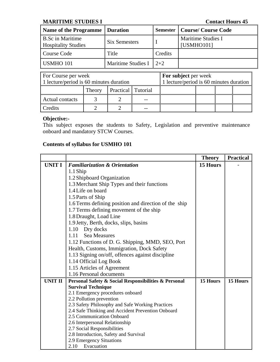# **MARITIME STUDIES I Contact Hours 45**

| <b>Name of the Programme</b>                          | <b>Duration</b>      |         | <b>Semester   Course/ Course Code</b> |
|-------------------------------------------------------|----------------------|---------|---------------------------------------|
| <b>B.Sc in Maritime</b><br><b>Hospitality Studies</b> | <b>Six Semesters</b> |         | Maritime Studies I<br>[USMHO101]      |
| Course Code                                           | Title                | Credits |                                       |
| USMHO 101                                             | Maritime Studies I   | $12+2$  |                                       |

| For Course per week                     |        |                    |  | <b>For subject per week</b>             |  |  |  |
|-----------------------------------------|--------|--------------------|--|-----------------------------------------|--|--|--|
| 1 lecture/period is 60 minutes duration |        |                    |  | 1 lecture/period is 60 minutes duration |  |  |  |
|                                         | Theory | Practical Tutorial |  |                                         |  |  |  |
| <b>Actual contacts</b>                  |        |                    |  |                                         |  |  |  |
| Credits                                 |        |                    |  |                                         |  |  |  |

# **Objective:-**

This subject exposes the students to Safety, Legislation and preventive maintenance onboard and mandatory STCW Courses.

|                |                                                                      | <b>Theory</b> | <b>Practical</b> |
|----------------|----------------------------------------------------------------------|---------------|------------------|
| <b>UNIT I</b>  | <b>Familiarization &amp; Orientation</b>                             | 15 Hours      |                  |
|                | 1.1 Ship                                                             |               |                  |
|                | 1.2 Shipboard Organization                                           |               |                  |
|                | 1.3 Merchant Ship Types and their functions                          |               |                  |
|                | 1.4 Life on board                                                    |               |                  |
|                | 1.5 Parts of Ship                                                    |               |                  |
|                | 1.6 Terms defining position and direction of the ship                |               |                  |
|                | 1.7 Terms defining movement of the ship                              |               |                  |
|                | 1.8 Draught, Load Line                                               |               |                  |
|                | 1.9 Jetty, Berth, docks, slips, basins                               |               |                  |
|                | 1.10 Dry docks                                                       |               |                  |
|                | <b>Sea Measures</b><br>1.11                                          |               |                  |
|                | 1.12 Functions of D. G. Shipping, MMD, SEO, Port                     |               |                  |
|                | Health, Customs, Immigration, Dock Safety                            |               |                  |
|                | 1.13 Signing on/off, offences against discipline                     |               |                  |
|                | 1.14 Official Log Book                                               |               |                  |
|                | 1.15 Articles of Agreement                                           |               |                  |
|                | 1.16 Personal documents                                              |               |                  |
| <b>UNIT II</b> | Personal Safety & Social Responsibilities & Personal                 | 15 Hours      | 15 Hours         |
|                | <b>Survival Technique</b>                                            |               |                  |
|                | 2.1 Emergency procedures onboard                                     |               |                  |
|                | 2.2 Pollution prevention                                             |               |                  |
|                | 2.3 Safety Philosophy and Safe Working Practices                     |               |                  |
|                | 2.4 Safe Thinking and Accident Prevention Onboard                    |               |                  |
|                | 2.5 Communication Onboard                                            |               |                  |
|                | 2.6 Interpersonal Relationship                                       |               |                  |
|                | 2.7 Social Responsibilities<br>2.8 Introduction, Safety and Survival |               |                  |
|                | 2.9 Emergency Situations                                             |               |                  |
|                | 2.10<br>Evacuation                                                   |               |                  |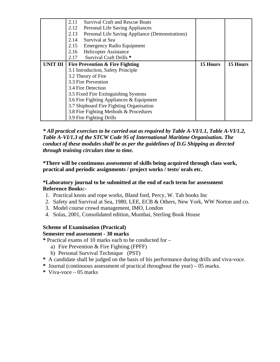|                 | <b>Survival Craft and Rescue Boats</b><br>2.11<br>2.12<br>Personal Life Saving Appliances<br>Personal Life Saving Appliance (Demonstrations)<br>2.13<br>Survival at Sea<br>2.14<br>2.15<br><b>Emergency Radio Equipment</b> |          |          |
|-----------------|-----------------------------------------------------------------------------------------------------------------------------------------------------------------------------------------------------------------------------|----------|----------|
|                 | <b>Helicopter Assistance</b><br>2.16<br>Survival Craft Drills *<br>2.17                                                                                                                                                     |          |          |
| <b>UNIT III</b> | <b>Fire Prevention &amp; Fire Fighting</b>                                                                                                                                                                                  | 15 Hours | 15 Hours |
|                 | 3.1 Introduction, Safety Principle                                                                                                                                                                                          |          |          |
|                 | 3.2 Theory of Fire                                                                                                                                                                                                          |          |          |
|                 | 3.3 Fire Prevention                                                                                                                                                                                                         |          |          |
|                 | 3.4 Fire Detection                                                                                                                                                                                                          |          |          |
|                 | 3.5 Fixed Fire Extinguishing Systems                                                                                                                                                                                        |          |          |
|                 | 3.6 Fire Fighting Appliances & Equipment                                                                                                                                                                                    |          |          |
|                 | 3.7 Shipboard Fire Fighting Organisation                                                                                                                                                                                    |          |          |
|                 | 3.8 Fire Fighting Methods & Procedures                                                                                                                                                                                      |          |          |
|                 | 3.9 Fire Fighting Drills                                                                                                                                                                                                    |          |          |

*\* All practical exercises to be carried out as required by Table A-VI/1.1, Table A-VI/1.2, Table A-VI/1.3 of the STCW Code 95 of International Maritime Organisation. The conduct of these modules shall be as per the guidelines of D.G Shipping as directed through training circulars time to time.* 

**\*There will be continuous assessment of skills being acquired through class work, practical and periodic assignments / project works / tests/ orals etc.** 

## **\*Laboratory journal to be submitted at the end of each term for assessment Reference Books:-**

- 1. Practical knots and rope works, Bland ford, Percy, W. Tab books Inc
- 2. Safety and Survival at Sea, 1980, LEE, ECB & Others, New York, WW Norton and co.
- 3. Model course crowd management, IMO, London
- 4. Solas, 2001, Consolidated edition, Mumbai, Sterling Book House

# **Scheme of Examination (Practical)**

## **Semester end assessment - 30 marks**

- **\*** Practical exams of 10 marks each to be conducted for
	- a) Fire Prevention & Fire Fighting (FPFF)
	- b) Personal Survival Technique (PST)
- **\*** A candidate shall be judged on the basis of his performance during drills and viva-voce.
- **\*** Journal (continuous assessment of practical throughout the year) 05 marks.
- **\*** Viva-voce 05 marks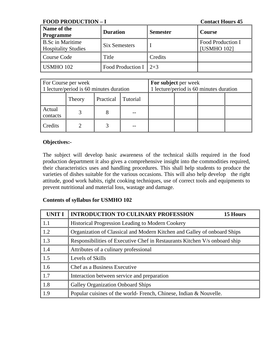**FOOD PRODUCTION – I** Contact Hours 45

| Name of the<br><b>Programme</b>                       | <b>Duration</b>                   | <b>Semester</b> | Course                           |
|-------------------------------------------------------|-----------------------------------|-----------------|----------------------------------|
| <b>B.Sc in Maritime</b><br><b>Hospitality Studies</b> | Six Semesters                     |                 | Food Production I<br>[USMHO 102] |
| Course Code                                           | Title                             | Credits         |                                  |
| <b>USMHO 102</b>                                      | Food Production I $\parallel$ 2+3 |                 |                                  |

| For Course per week<br>1 lecture/period is 60 minutes duration |        |           | For subject per week | 1 lecture/period is 60 minutes duration |  |  |
|----------------------------------------------------------------|--------|-----------|----------------------|-----------------------------------------|--|--|
|                                                                | Theory | Practical | Tutorial             |                                         |  |  |
| Actual<br>contacts                                             |        |           |                      |                                         |  |  |
| Credits                                                        |        |           |                      |                                         |  |  |

## **Objectives:-**

The subject will develop basic awareness of the technical skills required in the food production department it also gives a comprehensive insight into the commodities required, their characteristics uses and handling procedures. This shall help students to produce the varieties of dishes suitable for the various occasions. This will also help develop the right attitude, good work habits, right cooking techniques, use of correct tools and equipments to prevent nutritional and material loss, wastage and damage.

| <b>UNIT I</b>     | <b>INTRODUCTION TO CULINARY PROFESSION</b><br>15 Hours                     |
|-------------------|----------------------------------------------------------------------------|
| 1.1               | <b>Historical Progression Leading to Modern Cookery</b>                    |
| 1.2               | Organization of Classical and Modern Kitchen and Galley of onboard Ships   |
| 1.3               | Responsibilities of Executive Chef in Restaurants Kitchen V/s onboard ship |
| 1.4               | Attributes of a culinary professional                                      |
| $\vert 1.5 \vert$ | Levels of Skills                                                           |
| 1.6               | Chef as a Business Executive                                               |
| 1.7               | Interaction between service and preparation                                |
| 1.8               | <b>Galley Organization Onboard Ships</b>                                   |
| 1.9               | Popular cuisines of the world- French, Chinese, Indian & Nouvelle.         |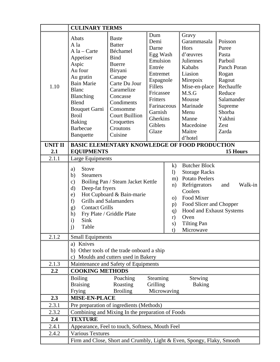|                | <b>CULINARY TERMS</b>                                                                                                                                                                                                                                                                                                   |                                                                                                                                                                                                                                   |                                                                                                                                                                               |                                                                                                                                                                                                                          |                                                                                                                                                                                           |                                                                                                                                                             |
|----------------|-------------------------------------------------------------------------------------------------------------------------------------------------------------------------------------------------------------------------------------------------------------------------------------------------------------------------|-----------------------------------------------------------------------------------------------------------------------------------------------------------------------------------------------------------------------------------|-------------------------------------------------------------------------------------------------------------------------------------------------------------------------------|--------------------------------------------------------------------------------------------------------------------------------------------------------------------------------------------------------------------------|-------------------------------------------------------------------------------------------------------------------------------------------------------------------------------------------|-------------------------------------------------------------------------------------------------------------------------------------------------------------|
| 1.10           | Abats<br>A la<br>$A$ la – Carte<br>Appetiser<br>Aspic<br>Au four<br>Au gratin<br><b>Bain Marie</b><br><b>Blanc</b><br>Blanching<br><b>Blend</b><br><b>Bouquet Garni</b><br><b>Broil</b><br><b>Baking</b><br><b>Barbecue</b><br>Banquette                                                                                | <b>Baste</b><br><b>Batter</b><br>Béchamel<br><b>Bind</b><br><b>Buerre</b><br>Biryani<br>Canape<br>Carte Du Jour<br>Caramelize<br>Concasse<br>Condiments<br>Consomme<br><b>Court Buillion</b><br>Croquettes<br>Croutons<br>Cuisine | Dum<br>Demi<br>Darne<br>Egg Wash<br>Emulsion<br>Entrée<br>Entremet<br>Espagnole<br>Fillets<br>Fricassee<br>Fritters<br>Farinaceous<br>Garnish<br>Gherkins<br>Giblets<br>Glaze |                                                                                                                                                                                                                          | Gravy<br>Garammasala<br>Hors<br>d'œuvres<br>Juliennes<br>Kababs<br>Liasion<br>Mirepoix<br>Mise-en-place<br>M.S.G<br>Mousse<br>Marinade<br>Menu<br>Manne<br>Macedoine<br>Maitre<br>d'hotel | Poisson<br>Puree<br>Pasta<br>Parboil<br>Panch Poran<br>Rogan<br>Ragout<br>Rechauffe<br>Reduce<br>Salamander<br>Supreme<br>Shorba<br>Yakhni<br>Zest<br>Zarda |
| <b>UNIT II</b> |                                                                                                                                                                                                                                                                                                                         | <b>BASIC ELEMENTARY KNOWLEDGE OF FOOD PRODUCTION</b>                                                                                                                                                                              |                                                                                                                                                                               |                                                                                                                                                                                                                          |                                                                                                                                                                                           | 15 Hours                                                                                                                                                    |
| 2.1<br>2.1.1   | <b>EQUIPMENTS</b><br>Large Equipments                                                                                                                                                                                                                                                                                   |                                                                                                                                                                                                                                   |                                                                                                                                                                               |                                                                                                                                                                                                                          |                                                                                                                                                                                           |                                                                                                                                                             |
|                | a)<br><b>Stove</b><br>b)<br><b>Steamers</b><br>Boiling Pan / Steam Jacket Kettle<br>$\mathbf{c})$<br>Deep-fat fryers<br>d)<br>Hot Cupboard & Bain-marie<br>e)<br><b>Grills and Salamanders</b><br>f)<br><b>Contact Grills</b><br>g)<br>Fry Plate / Griddle Plate<br>h)<br>Sink<br>$\mathbf{i}$<br>$\mathbf{i}$<br>Table |                                                                                                                                                                                                                                   | $\mathbf{k}$<br>$\left( \right)$<br>m)<br>n)<br>$\overline{O}$<br>p)<br>q)<br>r)<br>s)<br>t)                                                                                  | <b>Butcher Block</b><br><b>Storage Racks</b><br><b>Potato Peelers</b><br>Refrigerators<br>Coolers<br>Food Mixer<br>Food Slicer and Chopper<br><b>Hood and Exhaust Systems</b><br>Oven<br><b>Tilting Pan</b><br>Microwave | Walk-in<br>and                                                                                                                                                                            |                                                                                                                                                             |
| 2.1.2          | <b>Small Equipments</b><br>a) Knives<br>$\mathbf{c}$ )                                                                                                                                                                                                                                                                  | b) Other tools of the trade onboard a ship<br>Moulds and cutters used in Bakery                                                                                                                                                   |                                                                                                                                                                               |                                                                                                                                                                                                                          |                                                                                                                                                                                           |                                                                                                                                                             |
| 2.1.3          |                                                                                                                                                                                                                                                                                                                         | Maintenance and Safety of Equipments                                                                                                                                                                                              |                                                                                                                                                                               |                                                                                                                                                                                                                          |                                                                                                                                                                                           |                                                                                                                                                             |
| 2.2            | <b>COOKING METHODS</b>                                                                                                                                                                                                                                                                                                  |                                                                                                                                                                                                                                   |                                                                                                                                                                               |                                                                                                                                                                                                                          |                                                                                                                                                                                           |                                                                                                                                                             |
|                | <b>Boiling</b><br>Poaching<br><b>Steaming</b><br>Stewing<br><b>Braising</b><br>Grilling<br>Roasting<br><b>Baking</b><br>Microwaving<br>Frying<br><b>Broiling</b>                                                                                                                                                        |                                                                                                                                                                                                                                   |                                                                                                                                                                               |                                                                                                                                                                                                                          |                                                                                                                                                                                           |                                                                                                                                                             |
| 2.3            | <b>MISE-EN-PLACE</b>                                                                                                                                                                                                                                                                                                    |                                                                                                                                                                                                                                   |                                                                                                                                                                               |                                                                                                                                                                                                                          |                                                                                                                                                                                           |                                                                                                                                                             |
| 2.3.1          |                                                                                                                                                                                                                                                                                                                         | Pre preparation of ingredients (Methods)                                                                                                                                                                                          |                                                                                                                                                                               |                                                                                                                                                                                                                          |                                                                                                                                                                                           |                                                                                                                                                             |
| 2.3.2          |                                                                                                                                                                                                                                                                                                                         | Combining and Mixing In the preparation of Foods                                                                                                                                                                                  |                                                                                                                                                                               |                                                                                                                                                                                                                          |                                                                                                                                                                                           |                                                                                                                                                             |
| 2.4            | <b>TEXTURE</b>                                                                                                                                                                                                                                                                                                          |                                                                                                                                                                                                                                   |                                                                                                                                                                               |                                                                                                                                                                                                                          |                                                                                                                                                                                           |                                                                                                                                                             |
| 2.4.1          |                                                                                                                                                                                                                                                                                                                         | Appearance, Feel to touch, Softness, Mouth Feel                                                                                                                                                                                   |                                                                                                                                                                               |                                                                                                                                                                                                                          |                                                                                                                                                                                           |                                                                                                                                                             |
| 2.4.2          | <b>Various Textures</b>                                                                                                                                                                                                                                                                                                 |                                                                                                                                                                                                                                   |                                                                                                                                                                               |                                                                                                                                                                                                                          |                                                                                                                                                                                           |                                                                                                                                                             |
|                | Firm and Close, Short and Crumbly, Light & Even, Spongy, Flaky, Smooth                                                                                                                                                                                                                                                  |                                                                                                                                                                                                                                   |                                                                                                                                                                               |                                                                                                                                                                                                                          |                                                                                                                                                                                           |                                                                                                                                                             |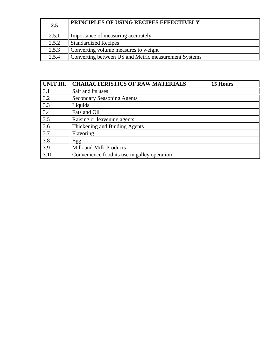| 2.5   | PRINCIPLES OF USING RECIPES EFFECTIVELY              |
|-------|------------------------------------------------------|
| 2.5.1 | Importance of measuring accurately                   |
| 2.5.2 | <b>Standardized Recipes</b>                          |
| 2.5.3 | Converting volume measures to weight                 |
| 2.5.4 | Converting between US and Metric measurement Systems |

| UNIT III. | <b>CHARACTERISTICS OF RAW MATERIALS</b><br>15 Hours |
|-----------|-----------------------------------------------------|
| 3.1       | Salt and its uses                                   |
| 3.2       | <b>Secondary Seasoning Agents</b>                   |
| 3.3       | Liquids                                             |
| 3.4       | Fats and Oil                                        |
| 3.5       | Raising or leavening agents                         |
| 3.6       | Thickening and Binding Agents                       |
| 3.7       | Flavoring                                           |
| 3.8       | Egg                                                 |
| 3.9       | Milk and Milk Products                              |
| 3.10      | Convenience food its use in galley operation        |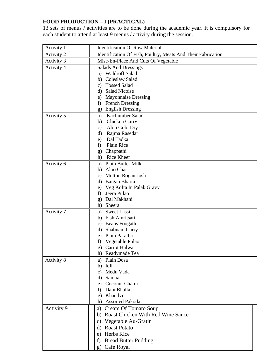# **FOOD PRODUCTION – I (PRACTICAL)**

13 sets of menus / activities are to be done during the academic year. It is compulsory for each student to attend at least 9 menus / activity during the session.

| Activity 1        | <b>Identification Of Raw Material</b>                        |
|-------------------|--------------------------------------------------------------|
| Activity 2        | Identification Of Fish, Poultry, Meats And Their Fabrication |
| Activity 3        | Mise-En-Place And Cuts Of Vegetable                          |
| Activity 4        | <b>Salads And Dressings</b>                                  |
|                   | a) Waldroff Salad                                            |
|                   | Coleslaw Salad<br>b)                                         |
|                   | <b>Tossed Salad</b><br>c)                                    |
|                   | <b>Salad Nicoise</b><br>d)                                   |
|                   | <b>Mayonnaise Dressing</b><br>e)                             |
|                   | <b>French Dressing</b><br>f)                                 |
|                   | <b>English Dressing</b><br>g)                                |
| Activity 5        | Kachumber Salad<br>a)                                        |
|                   | Chicken Curry<br>b)                                          |
|                   | Aloo Gobi Dry<br>c)                                          |
|                   | Rajma Rasedar<br>d)                                          |
|                   | Dal Tadka<br>e)                                              |
|                   | Plain Rice<br>f)                                             |
|                   | Chappathi<br>$\mathbf{g}$                                    |
|                   | Rice Kheer<br>h)                                             |
| Activity 6        | Plain Butter Milk<br>a)                                      |
|                   | Aloo Chat<br>b)<br>Mutton Rogan Josh                         |
|                   | c)<br>Baigan Bharta<br>d)                                    |
|                   | Veg Kofta In Palak Gravy<br>e)                               |
|                   | Jeera Pulao<br>f)                                            |
|                   | Dal Makhani<br>g)                                            |
|                   | Sheera<br>h)                                                 |
| Activity 7        | <b>Sweet Lassi</b><br>a)                                     |
|                   | Fish Amritsari<br>b)                                         |
|                   | Beans Foogath<br>c)                                          |
|                   | Shabnam Curry<br>$\rm d$                                     |
|                   | e) Plain Paratha                                             |
|                   | Vegetable Pulao<br>f)                                        |
|                   | Carrot Halwa<br>g)                                           |
|                   | h)<br>Readymade Tea                                          |
| Activity 8        | Plain Dosa<br>a)                                             |
|                   | Idli<br>b)                                                   |
|                   | Medu Vada<br>c)                                              |
|                   | Sambar<br>$\rm d$                                            |
|                   | Coconut Chatni<br>e)                                         |
|                   | Dahi Bhalla<br>f)<br>Khandvi                                 |
|                   | g)<br><b>Assorted Pakoda</b>                                 |
|                   | h)                                                           |
| <b>Activity 9</b> | <b>Cream Of Tomato Soup</b><br>a)                            |
|                   | b) Roast Chicken With Red Wine Sauce                         |
|                   | c) Vegetable Au-Gratin                                       |
|                   | d) Roast Potato                                              |
|                   | e) Herbs Rice                                                |
|                   | <b>Bread Butter Pudding</b><br>t)                            |
|                   | Café Royal<br>$\mathbf{g}$                                   |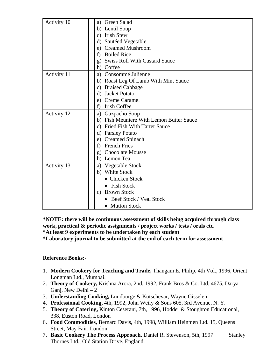| Activity 10 | <b>Green Salad</b><br>a)                           |
|-------------|----------------------------------------------------|
|             | Lentil Soup<br>b)                                  |
|             | <b>Irish Stew</b><br>$\mathbf{c})$                 |
|             | Sautéed Vegetable<br>$\rm d$                       |
|             | e) Creamed Mushroom                                |
|             | <b>Boiled Rice</b><br>f                            |
|             | <b>Swiss Roll With Custard Sauce</b><br>g)         |
|             | h) Coffee                                          |
| Activity 11 | Consommé Julienne<br>a)                            |
|             | b) Roast Leg Of Lamb With Mint Sauce               |
|             | <b>Braised Cabbage</b><br>C)                       |
|             | <b>Jacket Potato</b><br>d)                         |
|             | Creme Caramel<br>e)                                |
|             | <b>Irish Coffee</b><br>f)                          |
| Activity 12 | a) Gazpacho Soup                                   |
|             | <b>Fish Meuniere With Lemon Butter Sauce</b><br>b) |
|             | <b>Fried Fish With Tarter Sauce</b><br>C)          |
|             | d) Parsley Potato                                  |
|             | e) Creamed Spinach                                 |
|             | <b>French Fries</b><br>f)                          |
|             | <b>Chocolate Mousse</b><br>$\mathbf{g}$            |
|             | h) Lemon Tea                                       |
| Activity 13 | Vegetable Stock<br>a)                              |
|             | White Stock<br>b)                                  |
|             | <b>Chicken Stock</b>                               |
|             | <b>Fish Stock</b>                                  |
|             | <b>Brown Stock</b><br>$\mathbf{c})$                |
|             | <b>Beef Stock / Veal Stock</b>                     |
|             | <b>Mutton Stock</b>                                |

**\*NOTE: there will be continuous assessment of skills being acquired through class work, practical & periodic assignments / project works / tests / orals etc. \*At least 9 experiments to be undertaken by each student** 

**\*Laboratory journal to be submitted at the end of each term for assessment** 

# **Reference Books:-**

- 1. **Modern Cookery for Teaching and Trade,** Thangam E. Philip, 4th Vol., 1996, Orient Longman Ltd., Mumbai.
- 2. **Theory of Cookery,** Krishna Arora, 2nd, 1992, Frank Bros & Co. Ltd, 4675, Darya Ganj, New Delhi – 2
- 3. **Understanding Cooking,** Lundburge & Kotschevar, Wayne Gisselen
- 4. **Professional Cooking,** 4th, 1992, John Weily & Sons 605, 3rd Avenue, N. Y.
- 5. **Theory of Catering,** Kinton Ceserani, 7th, 1996, Hodder & Stoughton Educational, 338, Euston Road, London
- 6. **Food Commodities,** Bernard Davis, 4th, 1998, William Heinmen Ltd. 15, Queens Street, May Fair, London
- 7. **Basic Cookery The Process Approach,** Daniel R. Stevenson, 5th, 1997 Stanley Thornes Ltd., Old Station Drive, England.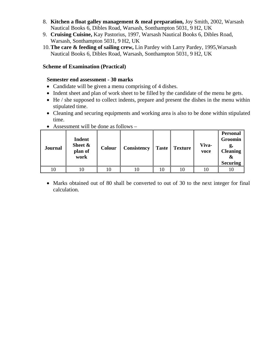- 8. **Kitchen a float galley management & meal preparation,** Joy Smith, 2002, Warsash Nautical Books 6, Dibles Road, Warsash, Sonthampton 5031, 9 H2, UK
- 9. **Cruising Cuisine,** Kay Pastorius, 1997, Warsash Nautical Books 6, Dibles Road, Warsash, Sonthampton 5031, 9 H2, UK
- 10.**The care & feeding of sailing crew,** Lin Pardey with Larry Pardey, 1995,Warsash Nautical Books 6, Dibles Road, Warsash, Sonthampton 5031, 9 H2, UK

## **Scheme of Examination (Practical)**

## **Semester end assessment - 30 marks**

- Candidate will be given a menu comprising of 4 dishes.
- Indent sheet and plan of work sheet to be filled by the candidate of the menu he gets.
- He / she supposed to collect indents, prepare and present the dishes in the menu within stipulated time.
- Cleaning and securing equipments and working area is also to be done within stipulated time.

| <b>Journal</b> | <b>Indent</b><br>Sheet &<br>plan of<br>work | <b>Colour</b> | <b>Consistency</b> | <b>Taste</b> | <b>Texture</b> | Viva-<br>voce | <b>Personal</b><br>Groomin<br><b>Cleaning</b><br>&<br><b>Securing</b> |
|----------------|---------------------------------------------|---------------|--------------------|--------------|----------------|---------------|-----------------------------------------------------------------------|
| 10             |                                             |               |                    |              |                |               |                                                                       |

• Assessment will be done as follows –

• Marks obtained out of 80 shall be converted to out of 30 to the next integer for final calculation.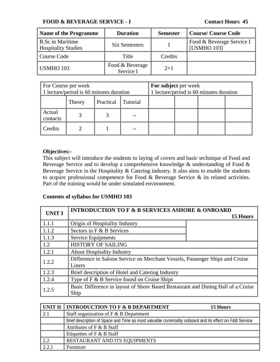## **FOOD & BEVERAGE SERVICE - I Contact Hours 45**

| <b>Name of the Programme</b>                          | <b>Duration</b>              | <b>Semester</b> | <b>Course/Course Code</b>                |
|-------------------------------------------------------|------------------------------|-----------------|------------------------------------------|
| <b>B.Sc in Maritime</b><br><b>Hospitality Studies</b> | Six Semesters                |                 | Food & Beverage Service I<br>[USMHO 103] |
| Course Code                                           | Title                        | Credits         |                                          |
| USMHO 103                                             | Food & Beverage<br>Service I | $2+1$           |                                          |

| For Course per week<br>1 lecture/period is 60 minutes duration |                                 |  |  | For subject per week | 1 lecture/period is 60 minutes duration |  |
|----------------------------------------------------------------|---------------------------------|--|--|----------------------|-----------------------------------------|--|
|                                                                | Practical<br>Tutorial<br>Theory |  |  |                      |                                         |  |
| Actual<br>contacts                                             |                                 |  |  |                      |                                         |  |
| Credits                                                        |                                 |  |  |                      |                                         |  |

## **Objectives:-**

This subject will introduce the students to laying of covers and basic technique of Food and Beverage Service and to develop a comprehensive knowledge & understanding of Food & Beverage Service in the Hospitality & Catering industry. It also aims to enable the students to acquire professional competence for Food & Beverage Service & its related activities. Part of the training would be under simulated environment.

| <b>UNIT I</b>       | <b>INTRODUCTION TO F &amp; B SERVICES ASHORE &amp; ONBOARD</b>                   |          |  |  |  |
|---------------------|----------------------------------------------------------------------------------|----------|--|--|--|
|                     |                                                                                  | 15 Hours |  |  |  |
| 1.1.1               | Origin of Hospitality Industry                                                   |          |  |  |  |
| $\vert$ 1.1.2       | Sectors in F & B Services                                                        |          |  |  |  |
| $\vert 1.1.3 \vert$ | Service Equipments                                                               |          |  |  |  |
| $\vert$ 1.2         | <b>HISTORY OF SAILING</b>                                                        |          |  |  |  |
| 1.2.1               | <b>About Hospitality Industry</b>                                                |          |  |  |  |
| 1.2.2               | Difference in Saloon Service on Merchant Vessels, Passenger Ships and Cruise     |          |  |  |  |
|                     | Liners                                                                           |          |  |  |  |
| 1.2.3               | Brief description of Hotel and Catering Industry                                 |          |  |  |  |
| 1.2.4               | Type of F & B Service found on Cruise Ships                                      |          |  |  |  |
| 1.2.5               | Basic Difference in layout of Shore Based Restaurant and Dining Hall of a Cruise |          |  |  |  |
|                     | Ship                                                                             |          |  |  |  |

|       | UNIT II    INTRODUCTION TO F & B DEPARTMENT<br>15 Hours                                              |
|-------|------------------------------------------------------------------------------------------------------|
|       | Staff organization of $F$ & B Department                                                             |
|       | Brief description of Space and Time as most valuable commodity onboard and its effect on F&B Service |
|       | Attributes of F & B Staff                                                                            |
|       | Etiquettes of $F$ & B Staff                                                                          |
| 2.2   | RESTAURANT AND ITS EQUIPMENTS                                                                        |
| 2.2.1 | Furniture                                                                                            |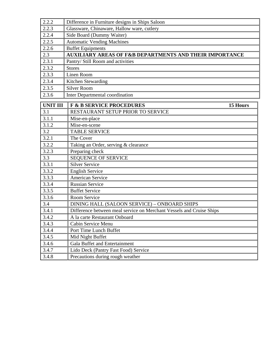| 2.2.2           | Difference in Furniture designs in Ships Saloon                      |  |  |  |  |  |  |
|-----------------|----------------------------------------------------------------------|--|--|--|--|--|--|
| 2.2.3           | Glassware, Chinaware, Hallow ware, cutlery                           |  |  |  |  |  |  |
| 2.2.4           | Side Board (Dummy Waiter)                                            |  |  |  |  |  |  |
| 2.2.5           | <b>Automatic Vending Machines</b>                                    |  |  |  |  |  |  |
| 2.2.6           | <b>Buffet Equipments</b>                                             |  |  |  |  |  |  |
| 2.3             | <b>AUXILIARY AREAS OF F&amp;B DEPARTMENTS AND THEIR IMPORTANCE</b>   |  |  |  |  |  |  |
| 2.3.1           | Pantry/ Still Room and activities                                    |  |  |  |  |  |  |
| 2.3.2           | <b>Stores</b>                                                        |  |  |  |  |  |  |
| 2.3.3           | Linen Room                                                           |  |  |  |  |  |  |
| 2.3.4           | Kitchen Stewarding                                                   |  |  |  |  |  |  |
| 2.3.5           | <b>Silver Room</b>                                                   |  |  |  |  |  |  |
| 2.3.6           | Inter Departmental coordination                                      |  |  |  |  |  |  |
| <b>UNIT III</b> | <b>F &amp; B SERVICE PROCEDURES</b><br>15 Hours                      |  |  |  |  |  |  |
| 3.1             | RESTAURANT SETUP PRIOR TO SERVICE                                    |  |  |  |  |  |  |
| 3.1.1           | Mise-en-place                                                        |  |  |  |  |  |  |
| 3.1.2           | Mise-en-scene                                                        |  |  |  |  |  |  |
| 3.2             | <b>TABLE SERVICE</b>                                                 |  |  |  |  |  |  |
| 3.2.1           | The Cover                                                            |  |  |  |  |  |  |
| 3.2.2           | Taking an Order, serving & clearance                                 |  |  |  |  |  |  |
| 3.2.3           | Preparing check                                                      |  |  |  |  |  |  |
| 3.3             | <b>SEQUENCE OF SERVICE</b>                                           |  |  |  |  |  |  |
| 3.3.1           | <b>Silver Service</b>                                                |  |  |  |  |  |  |
| 3.3.2           | <b>English Service</b>                                               |  |  |  |  |  |  |
| 3.3.3           | <b>American Service</b>                                              |  |  |  |  |  |  |
| 3.3.4           | <b>Russian Service</b>                                               |  |  |  |  |  |  |
| 3.3.5           | <b>Buffet Service</b>                                                |  |  |  |  |  |  |
| 3.3.6           | Room Service                                                         |  |  |  |  |  |  |
| 3.4             | DINING HALL (SALOON SERVICE) - ONBOARD SHIPS                         |  |  |  |  |  |  |
| 3.4.1           | Difference between meal service on Merchant Vessels and Cruise Ships |  |  |  |  |  |  |
| 3.4.2           | A la carte Restaurant Onboard                                        |  |  |  |  |  |  |
| 3.4.3           | Cabin Service Menu                                                   |  |  |  |  |  |  |
| 3.4.4           | Port Time Lunch Buffet                                               |  |  |  |  |  |  |
| 3.4.5           | Mid Night Buffet                                                     |  |  |  |  |  |  |
| 3.4.6           | Gala Buffet and Entertainment                                        |  |  |  |  |  |  |
| 3.4.7           | Lido Deck (Pantry Fast Food) Service                                 |  |  |  |  |  |  |
| 3.4.8           | Precautions during rough weather                                     |  |  |  |  |  |  |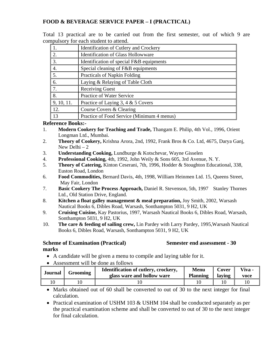## **FOOD & BEVERAGE SERVICE PAPER – I (PRACTICAL)**

Total 13 practical are to be carried out from the first semester, out of which 9 are compulsory for each student to attend.

|                  | Identification of Cutlery and Crockery     |
|------------------|--------------------------------------------|
| 2.               | <b>Identification of Glass Hollowware</b>  |
| 3.               | Identification of special F&B equipments   |
| $\overline{4}$ . | Special cleaning of F&B equipments         |
| 5.               | Practicals of Napkin Folding               |
| 6.               | Laying & Relaying of Table Cloth           |
| 7.               | <b>Receiving Guest</b>                     |
| 8.               | Practice of Water Service                  |
| 9, 10, 11.       | Practice of Laying 3, 4 & 5 Covers         |
| 12.              | Course Covers & Clearing                   |
| 13               | Practice of Food Service (Minimum 4 menus) |

## **Reference Books:-**

- 1. **Modern Cookery for Teaching and Trade,** Thangam E. Philip, 4th Vol., 1996, Orient Longman Ltd., Mumbai.
- 2. **Theory of Cookery,** Krishna Arora, 2nd, 1992, Frank Bros & Co. Ltd, 4675, Darya Ganj, New Delhi – 2
- 3. **Understanding Cooking,** Lundburge & Kotschevar, Wayne Gisselen
- 4. **Professional Cooking,** 4th, 1992, John Weily & Sons 605, 3rd Avenue, N. Y.
- 5. **Theory of Catering,** Kinton Ceserani, 7th, 1996, Hodder & Stoughton Educational, 338, Euston Road, London
- 6. **Food Commodities,** Bernard Davis, 4th, 1998, William Heinmen Ltd. 15, Queens Street, May Fair, London
- 7. **Basic Cookery The Process Approach,** Daniel R. Stevenson, 5th, 1997 Stanley Thornes Ltd., Old Station Drive, England.
- 8. **Kitchen a float galley management & meal preparation,** Joy Smith, 2002, Warsash Nautical Books 6, Dibles Road, Warsash, Sonthampton 5031, 9 H2, UK
- 9. **Cruising Cuisine,** Kay Pastorius, 1997, Warsash Nautical Books 6, Dibles Road, Warsash, Sonthampton 5031, 9 H2, UK
- 10. **The care & feeding of sailing crew,** Lin Pardey with Larry Pardey, 1995,Warsash Nautical Books 6, Dibles Road, Warsash, Sonthampton 5031, 9 H2, UK

# **Scheme of Examination (Practical) Semester end assessment - 30**

**marks** 

- A candidate will be given a menu to compile and laying table for it.
- Assessment will be done as follows

| Journal | Grooming | Identification of cutlery, crockery,<br>glass ware and hollow ware | <b>Menu</b><br><b>Planning</b> | Cover<br>laving | $V$ iva -<br>voce |
|---------|----------|--------------------------------------------------------------------|--------------------------------|-----------------|-------------------|
|         |          |                                                                    |                                |                 |                   |

• Marks obtained out of 60 shall be converted to out of 30 to the next integer for final calculation.

• Practical examination of USHM 103 & USHM 104 shall be conducted separately as per the practical examination scheme and shall be converted to out of 30 to the next integer for final calculation.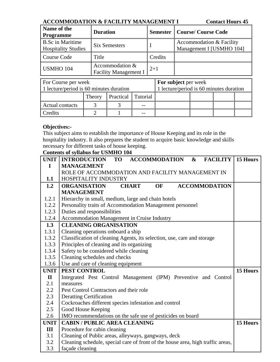## **ACCOMMODATION & FACILITY MANAGEMENT I Contact Hours 45**

| Name of the<br><b>Programme</b>                       | <b>Duration</b>                                 |         | <b>Semester   Course/ Course Code</b>                |
|-------------------------------------------------------|-------------------------------------------------|---------|------------------------------------------------------|
| <b>B.Sc in Maritime</b><br><b>Hospitality Studies</b> | Six Semesters                                   |         | Accommodation & Facility<br>Management I [USMHO 104] |
| Course Code                                           | Title                                           | Credits |                                                      |
| USMHO 104                                             | Accommodation &<br><b>Facility Management I</b> | $2+1$   |                                                      |

| For Course per week                     |        |                           |  | For subject per week                    |  |  |
|-----------------------------------------|--------|---------------------------|--|-----------------------------------------|--|--|
| 1 lecture/period is 60 minutes duration |        |                           |  | 1 lecture/period is 60 minutes duration |  |  |
|                                         | Theory | <b>Practical Tutorial</b> |  |                                         |  |  |
| Actual contacts                         |        |                           |  |                                         |  |  |
| Credits                                 |        |                           |  |                                         |  |  |

# **Objectives:-**

This subject aims to establish the importance of House Keeping and its role in the hospitality industry. It also prepares the student to acquire basic knowledge and skills necessary for different tasks of house keeping.

| UNIT         | <b>INTRODUCTION</b><br><b>ACCOMMODATION</b><br><b>FACILITY</b>   15 Hours<br><b>TO</b><br>$\boldsymbol{\alpha}$ |          |
|--------------|-----------------------------------------------------------------------------------------------------------------|----------|
| I            | <b>MANAGEMENT</b>                                                                                               |          |
|              | ROLE OF ACCOMMODATION AND FACILITY MANAGEMENT IN                                                                |          |
| 1.1          | HOSPITALITY INDUSTRY                                                                                            |          |
| 1.2          | <b>OF</b><br><b>ORGANISATION</b><br><b>ACCOMMODATION</b><br><b>CHART</b>                                        |          |
|              | <b>MANAGEMENT</b>                                                                                               |          |
| 1.2.1        | Hierarchy in small, medium, large and chain hotels                                                              |          |
| 1.2.2        | Personality traits of Accommodation Management personnel                                                        |          |
| 1.2.3        | Duties and responsibilities                                                                                     |          |
| 1.2.4        | Accommodation Management in Cruise Industry                                                                     |          |
| 1.3          | <b>CLEANING ORGANISATION</b>                                                                                    |          |
| 1.3.1        | Cleaning operations onboard a ship                                                                              |          |
| 1.3.2        | Classification of cleaning Agents, its selection, use, care and storage                                         |          |
| 1.3.3        | Principles of cleaning and its organizing                                                                       |          |
| 1.3.4        | Safety to be considered while cleaning                                                                          |          |
| 1.3.5        | Cleaning schedules and checks                                                                                   |          |
| 1.3.6        | Use and care of cleaning equipment                                                                              |          |
| UNIT         | PEST CONTROL                                                                                                    | 15 Hours |
| $\mathbf{I}$ | Integrated Pest Control Management (IPM) Preventive and Control                                                 |          |
| 2.1          | measures                                                                                                        |          |
| 2.2          | Pest Control Contractors and their role                                                                         |          |
| 2.3          | <b>Deratting Certification</b>                                                                                  |          |
| 2.4          | Cockroaches different species infestation and control                                                           |          |
| 2.5          | Good House Keeping                                                                                              |          |
| 2.6          | IMO recommendations on the safe use of pesticides on board                                                      |          |
| <b>UNIT</b>  | <b>CABIN / PUBLIC AREA CLEANING</b>                                                                             | 15 Hours |
| III          | Procedure for cabin cleaning                                                                                    |          |
| 3.1          | Cleaning of Public areas, alleyways, gangways, deck                                                             |          |
| 3.2          | Cleaning schedule, special care of front of the house area, high traffic areas,                                 |          |
| 3.3          | façade cleaning                                                                                                 |          |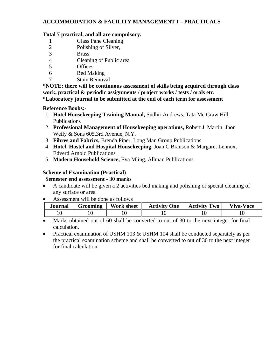# **ACCOMMODATION & FACILITY MANAGEMENT I – PRACTICALS**

## **Total 7 practical, and all are compulsory.**

- 1 Glass Pane Cleaning
- 2 Polishing of Silver,
- 3 Brass
- 4 Cleaning of Public area
- 5 Offices
- 6 Bed Making
- 7 Stain Removal

**\*NOTE: there will be continuous assessment of skills being acquired through class work, practical & periodic assignments / project works / tests / orals etc. \*Laboratory journal to be submitted at the end of each term for assessment** 

## **Reference Books:-**

- 1. **Hotel Housekeeping Training Manual,** Sudhir Andrews, Tata Mc Graw Hill Publications
- 2. **Professional Management of Housekeeping operations,** Robert J. Martin, Jhon Weily & Sons 605,3rd Avenue, N.Y.
- 3. **Fibres and Fabrics,** Brenda Piper, Long Man Group Publications
- 4. **Hotel, Hostel and Hospital Housekeeping,** Joan C Branson & Margaret Lennox, Edverd Arnold Publications
- 5. **Modern Household Science,** Eva Mling, Allman Publications

# **Scheme of Examination (Practical)**

**Semester end assessment - 30 marks** 

- A candidate will be given a 2 activities bed making and polishing or special cleaning of any surface or area
- Assessment will be done as follows

| Journal | Grooming | <b>Work sheet</b> | <b>Activity One</b> | <b>Activity Two</b> | Viva-Voce |
|---------|----------|-------------------|---------------------|---------------------|-----------|
|         |          |                   |                     |                     |           |

- Marks obtained out of 60 shall be converted to out of 30 to the next integer for final calculation.
- Practical examination of USHM 103 & USHM 104 shall be conducted separately as per the practical examination scheme and shall be converted to out of 30 to the next integer for final calculation.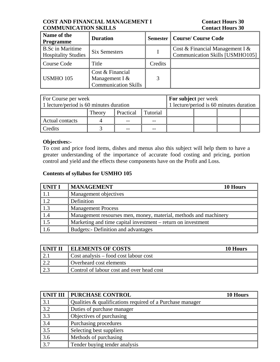## **COST AND FINANCIAL MANAGEMENT I Contact Hours 30 COMMUNICATION SKILLS COMMUNICATION SKILLS**

| Name of the<br><b>Programme</b>                       | <b>Duration</b>                                                     |         | <b>Semester   Course/ Course Code</b>                              |
|-------------------------------------------------------|---------------------------------------------------------------------|---------|--------------------------------------------------------------------|
| <b>B.Sc in Maritime</b><br><b>Hospitality Studies</b> | <b>Six Semesters</b>                                                |         | Cost & Financial Management I &<br>Communication Skills [USMHO105] |
| Course Code                                           | Title                                                               | Credits |                                                                    |
| <b>USMHO 105</b>                                      | Cost & Financial<br>Management I $&$<br><b>Communication Skills</b> |         |                                                                    |

| For Course per week                     |        |           |                                         | <b>For subject per week</b> |  |  |  |
|-----------------------------------------|--------|-----------|-----------------------------------------|-----------------------------|--|--|--|
| 1 lecture/period is 60 minutes duration |        |           | 1 lecture/period is 60 minutes duration |                             |  |  |  |
|                                         | Theory | Practical | l Tutorial                              |                             |  |  |  |
| Actual contacts                         |        |           |                                         |                             |  |  |  |
| Credits                                 |        |           |                                         |                             |  |  |  |

# **Objectives:-**

To cost and price food items, dishes and menus also this subject will help them to have a greater understanding of the importance of accurate food costing and pricing, portion control and yield and the effects these components have on the Profit and Loss.

| UNIT I      | <b>MANAGEMENT</b><br>10 Hours                                    |
|-------------|------------------------------------------------------------------|
| $\vert$ 1.1 | Management objectives                                            |
| 1.2         | Definition                                                       |
| 1.3         | <b>Management Process</b>                                        |
| 1.4         | Management resourses men, money, material, methods and machinery |
| 1.5         | Marketing and time capital investment – return on investment     |
| 1.6         | <b>Budgets:- Definition and advantages</b>                       |

| I UNIT II | <b>ELEMENTS OF COSTS</b>                  | 10 Hours |
|-----------|-------------------------------------------|----------|
|           | Cost analysis – food cost labour cost     |          |
|           | Overheard cost elements                   |          |
|           | Control of labour cost and over head cost |          |

| <b>UNIT III</b>  | <b>PURCHASE CONTROL</b>                                   | 10 Hours |
|------------------|-----------------------------------------------------------|----------|
| 3.1              | Qualities & qualifications required of a Purchase manager |          |
| 3.2              | Duties of purchase manager                                |          |
| $\overline{3.3}$ | Objectives of purchasing                                  |          |
| 3.4              | Purchasing procedures                                     |          |
| 3.5              | Selecting best suppliers                                  |          |
| 3.6              | Methods of purchasing                                     |          |
| 37               | Tender buying tender analysis                             |          |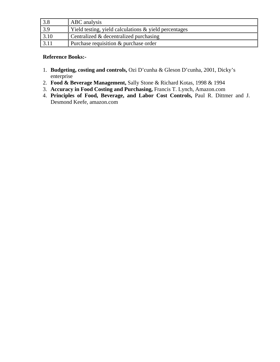|                   | ABC analysis                                          |
|-------------------|-------------------------------------------------------|
| $\vert 3.9 \vert$ | Yield testing, yield calculations & yield percentages |
| 3.10              | Centralized & decentralized purchasing                |
|                   | Purchase requisition & purchase order                 |

## **Reference Books:-**

- 1. **Budgeting, costing and controls,** Ozi D'cunha & Gleson D'cunha, 2001, Dicky's enterprise
- 2. **Food & Beverage Management,** Sally Stone & Richard Kotas, 1998 & 1994
- 3. **Accuracy in Food Costing and Purchasing,** Francis T. Lynch, Amazon.com
- 4. **Principles of Food, Beverage, and Labor Cost Controls,** Paul R. Dittmer and J. Desmond Keefe, amazon.com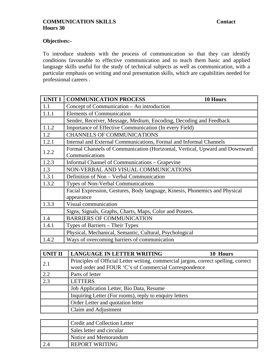## **COMMUNICATION SKILLS** Contact **Hours 30**

# **Objectives:-**

To introduce students with the process of communication so that they can identify conditions favourable to effective communication and to teach them basic and applied language skills useful for the study of technical subjects as well as communication, with a particular emphasis on writing and oral presentation skills, which are capabilities needed for professional careers .

| <b>UNIT I</b> | <b>COMMUNICATION PROCESS</b><br>10 Hours                                                      |  |  |  |
|---------------|-----------------------------------------------------------------------------------------------|--|--|--|
| 1.1           | Concept of Communication - An introduction                                                    |  |  |  |
| 1.1.1         | <b>Elements of Communication</b>                                                              |  |  |  |
|               | Sender, Receiver, Message, Medium, Encoding, Decoding and Feedback                            |  |  |  |
| 1.1.2         | Importance of Effective Communication (In every Field)                                        |  |  |  |
| 1.2           | <b>CHANNELS OF COMMUNICATIONS</b>                                                             |  |  |  |
| 1.2.1         | Internal and External Communications, Formal and Informal Channels                            |  |  |  |
| 1.2.2         | Formal Channels of Communication (Horizontal, Vertical, Upward and Downward<br>Communications |  |  |  |
| 1.2.3         | Informal Channel of Communications – Grapevine                                                |  |  |  |
| 1.3           | NON-VERBAL AND VISUAL COMMUNICATIONS                                                          |  |  |  |
| 1.3.1         | Definition of Non - Verbal Communication                                                      |  |  |  |
| 1.3.2         | Types of Non-Verbal Communications                                                            |  |  |  |
|               | Facial Expression, Gestures, Body language, Kinesis, Phonemics and Physical<br>appearance     |  |  |  |
| 1.3.3         | Visual communication                                                                          |  |  |  |
|               | Signs, Signals, Graphs, Charts, Maps, Color and Posters.                                      |  |  |  |
| 1.4           | <b>BARRIERS OF COMMUNICATION</b>                                                              |  |  |  |
| 1.4.1         | Types of Barriers – Their Types                                                               |  |  |  |
|               | Physical, Mechanical, Semantic, Cultural, Psychological                                       |  |  |  |
| 1.4.2         | Ways of overcoming barriers of communication                                                  |  |  |  |

| UNIT II | <b>LANGUAGE IN LETTER WRITING</b><br>10 Hours                                                                                                |
|---------|----------------------------------------------------------------------------------------------------------------------------------------------|
| 2.1     | Principles of Official Letter writing, commercial jargon, correct spelling, correct<br>word order and FOUR 'C's of Commercial Correspondence |
| 2.2     | Parts of letter                                                                                                                              |
| 2.3     | <b>LETTERS</b>                                                                                                                               |
|         | Job Application Letter, Bio Data, Resume                                                                                                     |
|         | Inquiring Letter (For rooms), reply to enquiry letters                                                                                       |
|         | Order Letter and quotation letter                                                                                                            |
|         | Claim and Adjustment                                                                                                                         |

| <b>Credit and Collection Letter</b> |  |  |
|-------------------------------------|--|--|
| Sales letter and circular           |  |  |
| Notice and Memorandum               |  |  |
| <b>REPORT WRITING</b>               |  |  |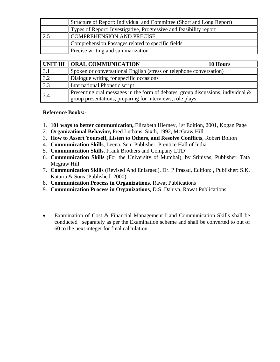|      | Structure of Report: Individual and Committee (Short and Long Report) |  |  |
|------|-----------------------------------------------------------------------|--|--|
|      | Types of Report: Investigative, Progressive and feasibility report    |  |  |
| ن کے | COMPREHENSION AND PRECISE                                             |  |  |
|      | Comprehension Passages related to specific fields                     |  |  |
|      | Precise writing and summarization                                     |  |  |

|     | UNIT III   ORAL COMMUNICATION                                                                                                                    | 10 Hours |
|-----|--------------------------------------------------------------------------------------------------------------------------------------------------|----------|
| 3.1 | Spoken or conversational English (stress on telephone conversation)                                                                              |          |
| 3.2 | Dialogue writing for specific occasions                                                                                                          |          |
| 3.3 | International Phonetic script                                                                                                                    |          |
| 3.4 | Presenting oral messages in the form of debates, group discussions, individual $\&$<br>group presentations, preparing for interviews, role plays |          |

## **Reference Books:-**

- 1. **101 ways to better communication,** Elizabeth Hierney, 1st Edition, 2001, Kogan Page
- 2. **Organizational Behavior,** Fred Luthans, Sixth, 1992, McGraw Hill
- 3. **How to Assert Yourself, Listen to Others, and Resolve Conflicts**, Robert Bolton
- 4. **Communication Skills**, Leena, Sen; Publisher: Prentice Hall of India
- 5. **Communication Skills**, Frank Brothers and Company LTD
- 6. **Communication Skills** (For the University of Mumbai), by Srinivas; Publisher: Tata Mcgraw Hill
- 7. **Communication Skills** (Revised And Enlarged), Dr. P Prasad, Edition: , Publisher: S.K. Kataria & Sons (Published: 2000)
- 8. **Communication Process in Organizations**, Rawat Publications
- 9. **Communication Process in Organizations**, D.S. Dahiya, Rawat Publications
- Examination of Cost & Financial Management I and Communication Skills shall be conducted separately as per the Examination scheme and shall be converted to out of 60 to the next integer for final calculation.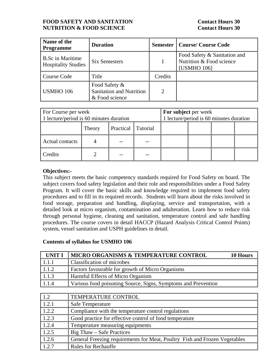## **FOOD SAFETY AND SANITATION Contact Hours 30 NUTRITION & FOOD SCIENCE** Contact Hours 30

| Name of the<br><b>Programme</b>                       | <b>Duration</b>                                                    |                | <b>Semester   Course/ Course Code</b>                                   |
|-------------------------------------------------------|--------------------------------------------------------------------|----------------|-------------------------------------------------------------------------|
| <b>B.Sc in Maritime</b><br><b>Hospitality Studies</b> | <b>Six Semesters</b>                                               |                | Food Safety & Sanitation and<br>Nutrition & Food science<br>[USMHO 106] |
| Course Code                                           | Title                                                              | Credits        |                                                                         |
| <b>USMHO 106</b>                                      | Food Safety &<br><b>Sanitation and Nutrition</b><br>& Food science | $\overline{2}$ |                                                                         |

| For Course per week<br>1 lecture/period is 60 minutes duration |        |                    |  | For subject per week<br>1 lecture/period is 60 minutes duration |  |  |  |
|----------------------------------------------------------------|--------|--------------------|--|-----------------------------------------------------------------|--|--|--|
|                                                                | Theory | Practical Tutorial |  |                                                                 |  |  |  |
| <b>Actual contacts</b>                                         |        |                    |  |                                                                 |  |  |  |
| Credits                                                        |        |                    |  |                                                                 |  |  |  |

## **Objectives:-**

This subject meets the basic competency standards required for Food Safety on board. The subject covers food safety legislation and their role and responsibilities under a Food Safety Program. It will cover the basic skills and knowledge required to implement food safety procedures and to fill in its required records. Students will learn about the risks involved in food storage, preparation and handling, displaying, service and transportation, with a detailed look at micro organism, contamination and adulteration. Learn how to reduce risk through personal hygiene, cleaning and sanitation, temperature control and safe handling procedures. The course covers in detail HACCP (Hazard Analysis Critical Control Points) system, vessel sanitation and USPH guidelines in detail.

| UNIT I              | <b>MICRO ORGANISMS &amp; TEMPERATURE CONTROL</b><br>10 Hours  |
|---------------------|---------------------------------------------------------------|
| l 1.1.1             | Classification of microbes                                    |
| $\vert 1.1.2 \vert$ | <b>Factors favourable for growth of Micro Organisms</b>       |
| $\vert 1.1.3 \vert$ | Harmful Effects of Micro Organism                             |
| $\sqrt{1.1.4}$      | Various food poisoning Source, Signs, Symptoms and Prevention |

| $\vert$ 1.2 | TEMPERATURE CONTROL                                                        |
|-------------|----------------------------------------------------------------------------|
| 1.2.1       | Safe Temperature                                                           |
| 1.2.2       | Compliance with the temperature control regulations                        |
| 1.2.3       | Good practice for effective control of food temperature                    |
| 1.2.4       | Temperature measuring equipments                                           |
| 1.2.5       | Big Thaw – Safe Practices                                                  |
| 1.2.6       | General Freezing requirements for Meat, Poultry Fish and Frozen Vegetables |
| 1.2.7       | <b>Rules for Rechauffe</b>                                                 |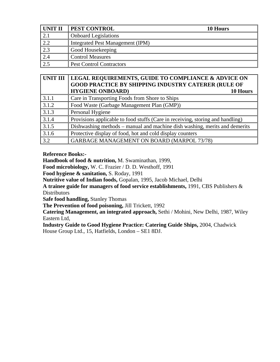| UNIT II           | <b>PEST CONTROL</b>                     | 10 Hours |
|-------------------|-----------------------------------------|----------|
| $\underline{2.1}$ | <b>Onboard Legislations</b>             |          |
|                   | <b>Integrated Pest Management (IPM)</b> |          |
| 2.3               | Good Housekeeping                       |          |
|                   | <b>Control Measures</b>                 |          |
|                   | <b>Pest Control Contractors</b>         |          |

| UNIT III | LEGAL REQUIREMENTS, GUIDE TO COMPLIANCE & ADVICE ON<br><b>GOOD PRACTICE BY SHIPPING INDUSTRY CATERER (RULE OF</b><br><b>HYGIENE ONBOARD)</b><br>10 Hours |
|----------|----------------------------------------------------------------------------------------------------------------------------------------------------------|
| 3.1.1    | Care in Transporting Foods from Shore to Ships                                                                                                           |
| 3.1.2    | Food Waste (Garbage Management Plan (GMP))                                                                                                               |
| 3.1.3    | Personal Hygiene                                                                                                                                         |
| 3.1.4    | Provisions applicable to food stuffs (Care in receiving, storing and handling)                                                                           |
| 3.1.5    | Dishwashing methods – manual and machine dish washing, merits and demerits                                                                               |
| 3.1.6    | Protective display of food, hot and cold display counters                                                                                                |
| 3.2      | <b>GARBAGE MANAGEMENT ON BOARD (MARPOL 73/78)</b>                                                                                                        |

**Reference Books:-** 

**Handbook of food & nutrition,** M. Swaminathan, 1999,

**Food microbiology,** W. C. Frazier / D. D. Westhoff, 1991

**Food hygiene & sanitation,** S. Roday, 1991

**Nutritive value of Indian foods,** Gopalan, 1995, Jacob Michael, Delhi

**A trainee guide for managers of food service establishments,** 1991, CBS Publishers & **Distributors** 

**Safe food handling,** Stanley Thomas

**The Prevention of food poisoning,** Jill Trickett, 1992

**Catering Management, an integrated approach,** Sethi / Mohini, New Delhi, 1987, Wiley Eastern Ltd,

**Industry Guide to Good Hygiene Practice: Catering Guide Ships,** 2004, Chadwick House Group Ltd., 15, Hatfields, London – SE1 8DJ.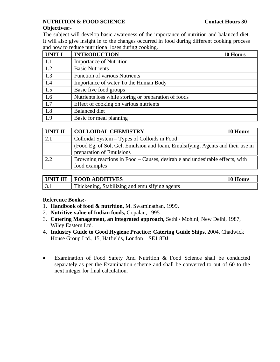# **NUTRITION & FOOD SCIENCE** Contact Hours 30

## **Objectives:-**

The subject will develop basic awareness of the importance of nutrition and balanced diet. It will also give insight in to the changes occurred in food during different cooking process and how to reduce nutritional loses during cooking.

| <b>UNIT I</b> | <b>INTRODUCTION</b>                                  | 10 Hours |
|---------------|------------------------------------------------------|----------|
| 1.1           | <b>Importance of Nutrition</b>                       |          |
| 1.2           | <b>Basic Nutrients</b>                               |          |
| 1.3           | <b>Function of various Nutrients</b>                 |          |
| 1.4           | Importance of water To the Human Body                |          |
| 1.5           | Basic five food groups                               |          |
| 1.6           | Nutrients loss while storing or preparation of foods |          |
| 1.7           | Effect of cooking on various nutrients               |          |
| 1.8           | <b>Balanced</b> diet                                 |          |
| 1.9           | Basic for meal planning                              |          |

| <b>UNIT II</b> | <b>COLLOIDAL CHEMISTRY</b><br>10 Hours                                                                     |
|----------------|------------------------------------------------------------------------------------------------------------|
|                | Colloidal System – Types of Colloids in Food                                                               |
|                | (Food Eg. of Sol, Gel, Emulsion and foam, Emulsifying, Agents and their use in<br>preparation of Emulsions |
| 2.2            | Browning reactions in Food – Causes, desirable and undesirable effects, with<br>food examples              |

| UNIT III | <b>FOOD ADDITIVES</b>                          | 10 Hours |
|----------|------------------------------------------------|----------|
|          | Thickening, Stabilizing and emulsifying agents |          |

## **Reference Books:-**

- 1. **Handbook of food & nutrition,** M. Swaminathan, 1999,
- 2. **Nutritive value of Indian foods,** Gopalan, 1995
- 3. **Catering Management, an integrated approach,** Sethi / Mohini, New Delhi, 1987, Wiley Eastern Ltd.
- 4. **Industry Guide to Good Hygiene Practice: Catering Guide Ships,** 2004, Chadwick House Group Ltd., 15, Hatfields, London – SE1 8DJ.
- Examination of Food Safety And Nutrition & Food Science shall be conducted separately as per the Examination scheme and shall be converted to out of 60 to the next integer for final calculation.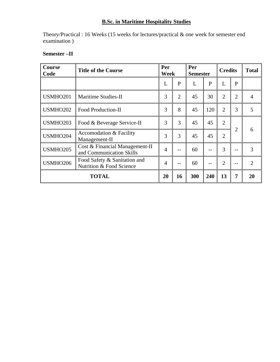# **B.Sc. in Maritime Hospitality Studies**

Theory/Practical : 16 Weeks (15 weeks for lectures/practical & one week for semester end examination )

| <b>Course</b><br>Code                                                | <b>Title of the Course</b>                                 |                | Per<br><b>Week</b> |     | Per<br><b>Semester</b> |                | <b>Credits</b> | <b>Total</b>   |
|----------------------------------------------------------------------|------------------------------------------------------------|----------------|--------------------|-----|------------------------|----------------|----------------|----------------|
|                                                                      |                                                            | L              | $\mathbf{P}$       | L   | P                      | L              | $\mathbf{P}$   |                |
| USMHO201                                                             | Maritime Studies-II                                        | 3              | $\overline{2}$     | 45  | 30                     | $\overline{2}$ | $\overline{2}$ | $\overline{4}$ |
| <b>USMHO202</b>                                                      | <b>Food Production-II</b>                                  | 3              | 8                  | 45  | 120                    | $\overline{2}$ | 3              | 5              |
| USMHO203                                                             | Food & Beverage Service-II                                 | 3              | 3                  | 45  | 45                     | $\overline{2}$ |                |                |
| USMHO204                                                             | Accomodation & Facility<br>Management-II                   |                | 3                  | 45  | 45                     | $\overline{2}$ | $\overline{2}$ | 6              |
| <b>USMHO205</b>                                                      | Cost & Financial Management-II<br>and Communication Skills | $\overline{4}$ |                    | 60  | --                     | 3              | --             | 3              |
| Food Safety & Sanitation and<br>USMHO206<br>Nutrition & Food Science |                                                            | $\overline{4}$ |                    | 60  | --                     | $\overline{2}$ | --             | $\overline{2}$ |
| <b>TOTAL</b>                                                         |                                                            |                | 16                 | 300 | 240                    | 13             | 7              | 20             |

# **Semester –II**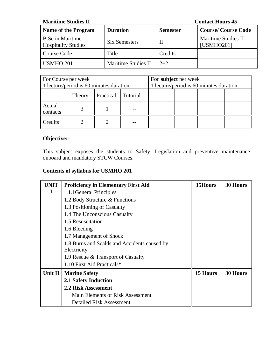| <b>Maritime Studies II</b>                            | <b>Contact Hours 45</b>    |                 |                                   |
|-------------------------------------------------------|----------------------------|-----------------|-----------------------------------|
| Name of the Program                                   | <b>Duration</b>            | <b>Semester</b> | <b>Course/Course Code</b>         |
| <b>B.Sc in Maritime</b><br><b>Hospitality Studies</b> | <b>Six Semesters</b>       | $\mathbf{I}$    | Maritime Studies II<br>[USMHO201] |
| Course Code                                           | Title                      | Credits         |                                   |
| USMHO 201                                             | <b>Maritime Studies II</b> | $2 + 2$         |                                   |

| For Course per week<br>1 lecture/period is 60 minutes duration |                                        |  | For subject per week | 1 lecture/period is 60 minutes duration |  |  |
|----------------------------------------------------------------|----------------------------------------|--|----------------------|-----------------------------------------|--|--|
|                                                                | Practical<br><b>Tutorial</b><br>Theory |  |                      |                                         |  |  |
| Actual<br>contacts                                             |                                        |  |                      |                                         |  |  |
| Credits                                                        |                                        |  |                      |                                         |  |  |

# **Objective:-**

This subject exposes the students to Safety, Legislation and preventive maintenance onboard and mandatory STCW Courses.

| UNIT    | <b>Proficiency in Elementary First Aid</b>   | 15Hours  | 30 Hours |
|---------|----------------------------------------------|----------|----------|
| I       | 1.1 General Principles                       |          |          |
|         | 1.2 Body Structure & Functions               |          |          |
|         | 1.3 Positioning of Casualty                  |          |          |
|         | 1.4 The Unconscious Casualty                 |          |          |
|         | 1.5 Resuscitation                            |          |          |
|         | 1.6 Bleeding                                 |          |          |
|         | 1.7 Management of Shock                      |          |          |
|         | 1.8 Burns and Scalds and Accidents caused by |          |          |
|         | Electricity                                  |          |          |
|         | 1.9 Rescue & Transport of Casualty           |          |          |
|         | 1.10 First Aid Practicals*                   |          |          |
| Unit II | <b>Marine Safety</b>                         | 15 Hours | 30 Hours |
|         | <b>2.1 Safety Induction</b>                  |          |          |
|         | <b>2.2 Risk Assessment</b>                   |          |          |
|         | Main Elements of Risk Assessment             |          |          |
|         | <b>Detailed Risk Assessment</b>              |          |          |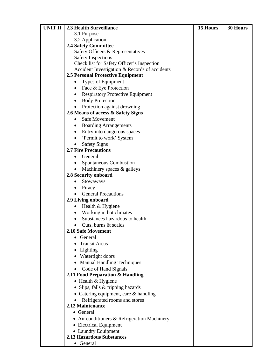| UNIT II | 2.3 Health Surveillance                              | 15 Hours | 30 Hours |
|---------|------------------------------------------------------|----------|----------|
|         | 3.1 Purpose                                          |          |          |
|         | 3.2 Application                                      |          |          |
|         | <b>2.4 Safety Committee</b>                          |          |          |
|         | Safety Officers & Representatives                    |          |          |
|         | <b>Safety Inspections</b>                            |          |          |
|         | Check list for Safety Officer's Inspection           |          |          |
|         | Accident Investigation & Records of accidents        |          |          |
|         | <b>2.5 Personal Protective Equipment</b>             |          |          |
|         | Types of Equipment<br>٠                              |          |          |
|         | Face & Eye Protection<br>$\bullet$                   |          |          |
|         | <b>Respiratory Protective Equipment</b><br>$\bullet$ |          |          |
|         | <b>Body Protection</b>                               |          |          |
|         | Protection against drowning<br>٠                     |          |          |
|         | 2.6 Means of access & Safety Signs                   |          |          |
|         | Safe Movement<br>$\bullet$                           |          |          |
|         | <b>Boarding Arrangements</b>                         |          |          |
|         | Entry into dangerous spaces                          |          |          |
|         | 'Permit to work' System<br>$\bullet$                 |          |          |
|         | <b>Safety Signs</b><br>$\bullet$                     |          |          |
|         | <b>2.7 Fire Precautions</b>                          |          |          |
|         | General<br>$\bullet$                                 |          |          |
|         | Spontaneous Combustion                               |          |          |
|         | Machinery spaces & galleys                           |          |          |
|         | 2.8 Security onboard                                 |          |          |
|         | Stowaways<br>$\bullet$                               |          |          |
|         | $\bullet$ Piracy                                     |          |          |
|         | <b>General Precautions</b>                           |          |          |
|         | 2.9 Living onboard                                   |          |          |
|         | Health & Hygiene<br>$\bullet$                        |          |          |
|         | Working in hot climates<br>$\bullet$                 |          |          |
|         | Substances hazardous to health                       |          |          |
|         | Cuts, burns & scalds<br>$\bullet$                    |          |          |
|         | 2.10 Safe Movement                                   |          |          |
|         | General                                              |          |          |
|         | <b>Transit Areas</b>                                 |          |          |
|         | Lighting                                             |          |          |
|         | Watertight doors                                     |          |          |
|         | <b>Manual Handling Techniques</b><br>$\bullet$       |          |          |
|         | Code of Hand Signals<br>$\bullet$                    |          |          |
|         | 2.11 Food Preparation & Handling                     |          |          |
|         | $\bullet$ Health & Hygiene                           |          |          |
|         | • Slips, falls & tripping hazards                    |          |          |
|         | • Catering equipment, care & handling                |          |          |
|         | Refrigerated rooms and stores                        |          |          |
|         | 2.12 Maintenance                                     |          |          |
|         | • General                                            |          |          |
|         | • Air conditioners & Refrigeration Machinery         |          |          |
|         | • Electrical Equipment                               |          |          |
|         | • Laundry Equipment                                  |          |          |
|         | <b>2.13 Hazardous Substances</b>                     |          |          |
|         | • General                                            |          |          |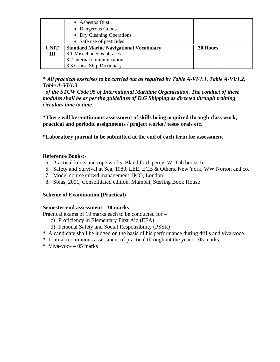|             | • Asbestos Dust<br>• Dangerous Goods<br>• Dry Cleaning Operations<br>• Safe use of pesticides |          |  |
|-------------|-----------------------------------------------------------------------------------------------|----------|--|
| <b>UNIT</b> | <b>Standard Marine Navigational Vocabulary</b>                                                | 30 Hours |  |
| Ш           | 3.1 Miscellaneous phrases                                                                     |          |  |
|             | 3.2 internal communication                                                                    |          |  |
|             | 3.3 Cruise Ship Dictionary                                                                    |          |  |

*\* All practical exercises to be carried out as required by Table A-VI/1.1, Table A-VI/1.2, Table A-VI/1.3* 

 *of the STCW Code 95 of International Maritime Organisation. The conduct of these modules shall be as per the guidelines of D.G Shipping as directed through training circulars time to time.* 

**\*There will be continuous assessment of skills being acquired through class work, practical and periodic assignments / project works / tests/ orals etc.** 

**\*Laboratory journal to be submitted at the end of each term for assessment** 

## **Reference Books:-**

- 5. Practical knots and rope works, Bland ford, percy, W. Tab books Inc
- 6. Safety and Survival at Sea, 1980, LEE, ECB & Others, New York, WW Norton and co.
- 7. Model course crowd management, IMO, London
- 8. Solas, 2001, Consolidated edition, Mumbai, Sterling Book House

# **Scheme of Examination (Practical)**

## **Semester end assessment - 30 marks**

Practical exams of 10 marks each to be conducted for –

- c) Proficiency in Elementary First Aid (EFA)
- d) Personal Safety and Social Responsibility (PSSR)
- **\*** A candidate shall be judged on the basis of his performance during drills and viva-voce.
- **\*** Journal (continuous assessment of practical throughout the year) 05 marks.
- **\*** Viva-voce 05 marks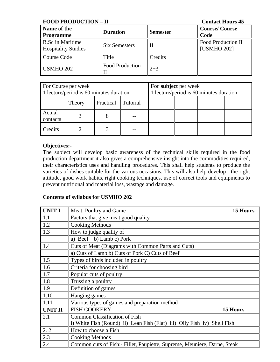| <b>FOOD PRODUCTION - II</b>                           | <b>Contact Hours 45</b> |                 |                                                 |
|-------------------------------------------------------|-------------------------|-----------------|-------------------------------------------------|
| Name of the<br><b>Programme</b>                       | <b>Duration</b>         | <b>Semester</b> | <b>Course/Course</b><br>Code                    |
| <b>B.Sc in Maritime</b><br><b>Hospitality Studies</b> | <b>Six Semesters</b>    | П               | <b>Food Production II</b><br><b>[USMHO 202]</b> |
| Course Code                                           | Title                   | Credits         |                                                 |
| <b>USMHO 202</b>                                      | <b>Food Production</b>  | $2 + 3$         |                                                 |

| For Course per week<br>1 lecture/period is 60 minutes duration |  |  | For subject per week | 1 lecture/period is 60 minutes duration |  |  |
|----------------------------------------------------------------|--|--|----------------------|-----------------------------------------|--|--|
| Practical Tutorial<br>Theory                                   |  |  |                      |                                         |  |  |
| Actual<br>contacts                                             |  |  |                      |                                         |  |  |
| Credits                                                        |  |  |                      |                                         |  |  |

## **Objectives:-**

The subject will develop basic awareness of the technical skills required in the food production department it also gives a comprehensive insight into the commodities required, their characteristics uses and handling procedures. This shall help students to produce the varieties of dishes suitable for the various occasions. This will also help develop the right attitude, good work habits, right cooking techniques, use of correct tools and equipments to prevent nutritional and material loss, wastage and damage.

| <b>UNIT I</b>  | Meat, Poultry and Game                                                    | 15 Hours |
|----------------|---------------------------------------------------------------------------|----------|
| 1.1            | Factors that give meat good quality                                       |          |
| 1.2            | <b>Cooking Methods</b>                                                    |          |
| 1.3            | How to judge quality of                                                   |          |
|                | a) Beef b) Lamb c) Pork                                                   |          |
| 1.4            | Cuts of Meat (Diagrams with Common Parts and Cuts)                        |          |
|                | a) Cuts of Lamb b) Cuts of Pork C) Cuts of Beef                           |          |
| 1.5            | Types of birds included in poultry                                        |          |
| 1.6            | Criteria for choosing bird                                                |          |
| 1.7            | Popular cuts of poultry                                                   |          |
| 1.8            | Trussing a poultry                                                        |          |
| 1.9            | Definition of games                                                       |          |
| 1.10           | Hanging games                                                             |          |
| 1.11           | Various types of games and preparation method                             |          |
| <b>UNIT II</b> | <b>FISH COOKERY</b><br>15 Hours                                           |          |
| 2.1            | <b>Common Classification of Fish</b>                                      |          |
|                | i) White Fish (Round) ii) Lean Fish (Flat) iii) Oily Fish iv) Shell Fish  |          |
| 2.2            | How to choose a Fish                                                      |          |
| 2.3            | <b>Cooking Methods</b>                                                    |          |
| 2.4            | Common cuts of Fish: - Fillet, Paupiette, Supreme, Meuniere, Darne, Steak |          |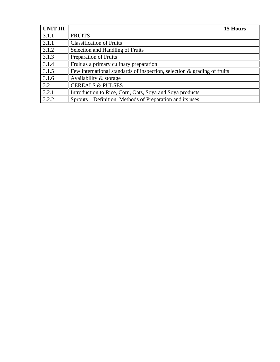| UNIT III | 15 Hours                                                                    |
|----------|-----------------------------------------------------------------------------|
| 3.1.1    | <b>FRUITS</b>                                                               |
| 3.1.1    | <b>Classification of Fruits</b>                                             |
| 3.1.2    | Selection and Handling of Fruits                                            |
| 3.1.3    | <b>Preparation of Fruits</b>                                                |
| 3.1.4    | Fruit as a primary culinary preparation                                     |
| 3.1.5    | Few international standards of inspection, selection $\&$ grading of fruits |
| 3.1.6    | Availability & storage                                                      |
| 3.2      | <b>CEREALS &amp; PULSES</b>                                                 |
| 3.2.1    | Introduction to Rice, Corn, Oats, Soya and Soya products.                   |
| 3.2.2    | Sprouts – Definition, Methods of Preparation and its uses                   |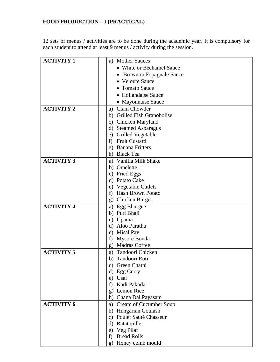# **FOOD PRODUCTION – I (PRACTICAL)**

12 sets of menus / activities are to be done during the academic year. It is compulsory for each student to attend at least 9 menus / activity during the session.

| <b>ACTIVITY 1</b> | <b>Mother Sauces</b><br>a)           |
|-------------------|--------------------------------------|
|                   | • White or Béchamel Sauce            |
|                   | • Brown or Espagnale Sauce           |
|                   | • Veloute Sauce                      |
|                   | • Tomato Sauce                       |
|                   | • Hollandaise Sauce                  |
|                   | • Mayonnaise Sauce                   |
| <b>ACTIVITY 2</b> | Clam Chowder<br>a)                   |
|                   | b) Grilled Fish Granobolise          |
|                   | c) Chicken Maryland                  |
|                   | <b>Steamed Asparagus</b><br>d)       |
|                   | <b>Grilled Vegetable</b><br>e)       |
|                   | <b>Fruit Custard</b><br>f            |
|                   | g) Banana Fritters                   |
|                   | h) Black Tea                         |
| <b>ACTIVITY 3</b> | a) Vanilla Milk Shake                |
|                   | b) Omelette                          |
|                   | <b>Fried Eggs</b><br>$\mathbf{c})$   |
|                   | d) Potato Cake                       |
|                   | e) Vegetable Cutlets                 |
|                   | <b>Hash Brown Potato</b><br>f)       |
|                   | g) Chicken Burger                    |
| <b>ACTIVITY 4</b> | Egg Bhurgee<br>a)                    |
|                   | b) Puri Bhaji                        |
|                   | c) Upama                             |
|                   | d) Aloo Paratha                      |
|                   | e) Misal Pav                         |
|                   | Mysore Bonda<br>f)                   |
|                   | <b>Madras Coffee</b><br>$\mathbf{g}$ |
| <b>ACTIVITY 5</b> | Tandoori Chicken<br>a)               |
|                   | b) Tandoori Roti                     |
|                   | Green Chatni<br>c)                   |
|                   | d) Egg Curry                         |
|                   | e) Usal                              |
|                   | Kadi Pakoda<br>f)                    |
|                   | Lemon Rice<br>g)                     |
|                   | Chana Dal Payasam<br>h)              |
| <b>ACTIVITY 6</b> | a) Cream of Cucumber Soup            |
|                   | b) Hungarian Goulash                 |
|                   | Poulet Sauté Chasseur<br>C)          |
|                   | d) Ratatouille                       |
|                   | Veg Pilaf<br>e)                      |
|                   | <b>Bread Rolls</b><br>f)             |
|                   | Honey comb mould<br>g)               |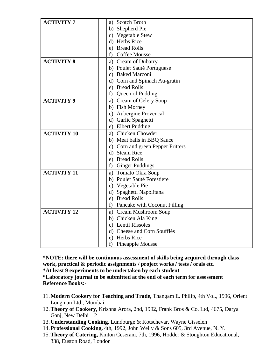| <b>ACTIVITY 7</b>  | a) Scotch Broth                   |  |  |  |  |
|--------------------|-----------------------------------|--|--|--|--|
|                    | b) Shepherd Pie                   |  |  |  |  |
|                    | c) Vegetable Stew                 |  |  |  |  |
|                    | d) Herbs Rice                     |  |  |  |  |
|                    | e) Bread Rolls                    |  |  |  |  |
|                    | <b>Coffee Mousse</b><br>f)        |  |  |  |  |
| <b>ACTIVITY 8</b>  | a) Cream of Dubarry               |  |  |  |  |
|                    | b) Poulet Sauté Portuguese        |  |  |  |  |
|                    | c) Baked Marconi                  |  |  |  |  |
|                    | d) Corn and Spinach Au-gratin     |  |  |  |  |
|                    | e) Bread Rolls                    |  |  |  |  |
|                    | Queen of Pudding<br>f)            |  |  |  |  |
| <b>ACTIVITY 9</b>  | a) Cream of Celery Soup           |  |  |  |  |
|                    | b) Fish Morney                    |  |  |  |  |
|                    | c) Aubergine Provencal            |  |  |  |  |
|                    | d) Garlic Spaghetti               |  |  |  |  |
|                    | e) Elbert Pudding                 |  |  |  |  |
| <b>ACTIVITY 10</b> | a) Chicken Chowder                |  |  |  |  |
|                    | b) Meat balls in BBQ Sauce        |  |  |  |  |
|                    | c) Corn and green Pepper Fritters |  |  |  |  |
|                    | d) Steam Rice                     |  |  |  |  |
|                    | e) Bread Rolls                    |  |  |  |  |
|                    | f) Ginger Puddings                |  |  |  |  |
| <b>ACTIVITY 11</b> | a) Tomato Okra Soup               |  |  |  |  |
|                    | b) Poulet Sauté Forestiere        |  |  |  |  |
|                    | c) Vegetable Pie                  |  |  |  |  |
|                    | d) Spaghetti Napolitana           |  |  |  |  |
|                    | e) Bread Rolls                    |  |  |  |  |
|                    | f) Pancake with Coconut Filling   |  |  |  |  |
| <b>ACTIVITY 12</b> | a) Cream Mushroom Soup            |  |  |  |  |
|                    | b) Chicken Ala King               |  |  |  |  |
|                    | c) Lentil Rissoles                |  |  |  |  |
|                    | d) Cheese and Corn Soufflés       |  |  |  |  |
|                    | e) Herbs Rice                     |  |  |  |  |
|                    | <b>Pineapple Mousse</b><br>f)     |  |  |  |  |

**\*NOTE: there will be continuous assessment of skills being acquired through class work, practical & periodic assignments / project works / tests / orals etc.** 

**\*At least 9 experiments to be undertaken by each student** 

**\*Laboratory journal to be submitted at the end of each term for assessment Reference Books:-** 

- 11.**Modern Cookery for Teaching and Trade,** Thangam E. Philip, 4th Vol., 1996, Orient Longman Ltd., Mumbai.
- 12.**Theory of Cookery,** Krishna Arora, 2nd, 1992, Frank Bros & Co. Ltd, 4675, Darya Ganj, New Delhi  $-2$
- 13.**Understanding Cooking,** Lundburge & Kotschevar, Wayne Gisselen
- 14.**Professional Cooking,** 4th, 1992, John Weily & Sons 605, 3rd Avenue, N. Y.
- 15.**Theory of Catering,** Kinton Ceserani, 7th, 1996, Hodder & Stoughton Educational, 338, Euston Road, London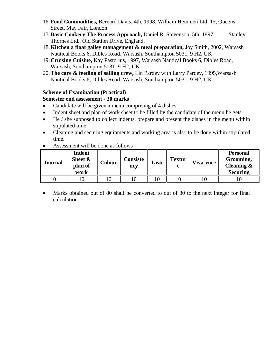- 16.**Food Commodities,** Bernard Davis, 4th, 1998, William Heinmen Ltd. 15, Queens Street, May Fair, London
- 17.**Basic Cookery The Process Approach,** Daniel R. Stevenson, 5th, 1997 Stanley Thornes Ltd., Old Station Drive, England.
- 18.**Kitchen a float galley management & meal preparation,** Joy Smith, 2002, Warsash Nautical Books 6, Dibles Road, Warsash, Sonthampton 5031, 9 H2, UK
- 19.**Cruising Cuisine,** Kay Pastorius, 1997, Warsash Nautical Books 6, Dibles Road, Warsash, Sonthampton 5031, 9 H2, UK
- 20.**The care & feeding of sailing crew,** Lin Pardey with Larry Pardey, 1995,Warsash Nautical Books 6, Dibles Road, Warsash, Sonthampton 5031, 9 H2, UK

# **Scheme of Examination (Practical)**

# **Semester end assessment - 30 marks**

- Candidate will be given a menu comprising of 4 dishes.
- Indent sheet and plan of work sheet to be filled by the candidate of the menu he gets.
- He / she supposed to collect indents, prepare and present the dishes in the menu within stipulated time.
- Cleaning and securing equipments and working area is also to be done within stipulated time.

| <b>Journal</b> | <b>Indent</b><br>Sheet &<br>plan of<br>work | <b>Colour</b> | <b>Consiste</b><br>ncy | <b>Taste</b> | <b>Textur</b><br>e | Viva-voce | <b>Personal</b><br>Grooming,<br>Cleaning $\&$<br><b>Securing</b> |
|----------------|---------------------------------------------|---------------|------------------------|--------------|--------------------|-----------|------------------------------------------------------------------|
| 10             |                                             |               |                        |              |                    |           |                                                                  |

• Assessment will be done as follows –

• Marks obtained out of 80 shall be converted to out of 30 to the next integer for final calculation.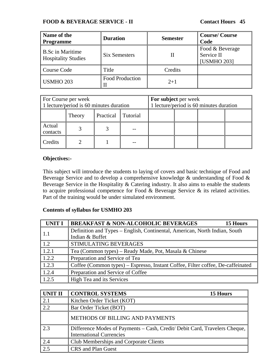## **FOOD & BEVERAGE SERVICE - II** Contact Hours 45

| Name of the<br><b>Programme</b>                       | <b>Duration</b>        | <b>Semester</b> | <b>Course/Course</b><br>Code                 |
|-------------------------------------------------------|------------------------|-----------------|----------------------------------------------|
| <b>B.Sc in Maritime</b><br><b>Hospitality Studies</b> | <b>Six Semesters</b>   |                 | Food & Beverage<br>Service II<br>[USMHO 203] |
| Course Code                                           | Title                  | Credits         |                                              |
| <b>USMHO 203</b>                                      | <b>Food Production</b> | $2+1$           |                                              |

| For Course per week<br>1 lecture/period is 60 minutes duration |  |  | For subject per week | 1 lecture/period is 60 minutes duration |  |  |
|----------------------------------------------------------------|--|--|----------------------|-----------------------------------------|--|--|
| Practical<br>Tutorial<br>Theory                                |  |  |                      |                                         |  |  |
| Actual<br>contacts                                             |  |  |                      |                                         |  |  |
| Credits                                                        |  |  |                      |                                         |  |  |

## **Objectives:-**

This subject will introduce the students to laying of covers and basic technique of Food and Beverage Service and to develop a comprehensive knowledge & understanding of Food & Beverage Service in the Hospitality & Catering industry. It also aims to enable the students to acquire professional competence for Food & Beverage Service & its related activities. Part of the training would be under simulated environment.

| <b>UNIT I</b>    | <b>BREAKFAST &amp; NON-ALCOHOLIC BEVERAGES</b><br>15 Hours                      |
|------------------|---------------------------------------------------------------------------------|
| $\parallel$ 1.1  | Definition and Types – English, Continental, American, North Indian, South      |
|                  | Indian & Buffet                                                                 |
| $\overline{1.2}$ | STIMULATING BEVERAGES                                                           |
| $\boxed{1.2.1}$  | Tea (Common types) – Ready Made, Pot, Masala & Chinese                          |
| 1.2.2            | Preparation and Service of Tea                                                  |
| 1.2.3            | Coffee (Common types) – Espresso, Instant Coffee, Filter coffee, De-caffeinated |
| 1.2.4            | Preparation and Service of Coffee                                               |
| 1.2.5            | High Tea and its Services                                                       |

| <b>UNIT II</b> | <b>CONTROL SYSTEMS</b><br>15 Hours                                                                            |
|----------------|---------------------------------------------------------------------------------------------------------------|
| 2.1            | Kitchen Order Ticket (KOT)                                                                                    |
| 2.2            | Bar Order Ticket (BOT)                                                                                        |
|                | METHODS OF BILLING AND PAYMENTS                                                                               |
| 2.3            | Difference Modes of Payments – Cash, Credit/ Debit Card, Travelers Cheque,<br><b>International Currencies</b> |
| 2.4            | <b>Club Memberships and Corporate Clients</b>                                                                 |
| 2.5            | <b>CRS</b> and Plan Guest                                                                                     |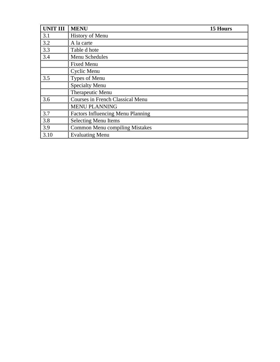| <b>UNIT III</b> | <b>MENU</b><br>15 Hours                  |  |
|-----------------|------------------------------------------|--|
| 3.1             | <b>History of Menu</b>                   |  |
| 3.2             | A la carte                               |  |
| 3.3             | Table d hote                             |  |
| 3.4             | Menu Schedules                           |  |
|                 | <b>Fixed Menu</b>                        |  |
|                 | Cyclic Menu                              |  |
| 3.5             | Types of Menu                            |  |
|                 | <b>Specialty Menu</b>                    |  |
|                 | Therapeutic Menu                         |  |
| 3.6             | <b>Courses in French Classical Menu</b>  |  |
|                 | <b>MENU PLANNING</b>                     |  |
| 3.7             | <b>Factors Influencing Menu Planning</b> |  |
| 3.8             | <b>Selecting Menu Items</b>              |  |
| 3.9             | <b>Common Menu compiling Mistakes</b>    |  |
| 3.10            | <b>Evaluating Menu</b>                   |  |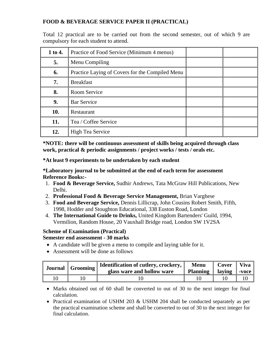# **FOOD & BEVERAGE SERVICE PAPER II (PRACTICAL)**

Total 12 practical are to be carried out from the second semester, out of which 9 are compulsory for each student to attend.

| 1 to 4. | Practice of Food Service (Minimum 4 menus)      |  |  |  |
|---------|-------------------------------------------------|--|--|--|
| 5.      | Menu Compiling                                  |  |  |  |
| 6.      | Practice Laying of Covers for the Compiled Menu |  |  |  |
| 7.      | <b>Breakfast</b>                                |  |  |  |
| 8.      | Room Service                                    |  |  |  |
| 9.      | <b>Bar Service</b>                              |  |  |  |
| 10.     | Restaurant                                      |  |  |  |
| 11.     | Tea / Coffee Service                            |  |  |  |
| 12.     | <b>High Tea Service</b>                         |  |  |  |

**\*NOTE: there will be continuous assessment of skills being acquired through class work, practical & periodic assignments / project works / tests / orals etc.** 

**\*At least 9 experiments to be undertaken by each student** 

**\*Laboratory journal to be submitted at the end of each term for assessment Reference Books:-** 

- 1. **Food & Beverage Service,** Sudhir Andrews, Tata McGraw Hill Publications, New Delhi.
- 2. **Professional Food & Beverage Service Management,** Brian Varghese
- 3. **Food and Beverage Service,** Dennis Lillicrap, John Cousins Robert Smith, Fifth, 1998, Hodder and Stoughton Educational, 338 Euston Road, London
- 4. **The International Guide to Drinks,** United Kingdom Bartenders' Guild, 1994, Vermilion, Random House, 20 Vauxhall Bridge road, London SW 1V2SA

## **Scheme of Examination (Practical)**

## **Semester end assessment - 30 marks**

- A candidate will be given a menu to compile and laying table for it.
- Assessment will be done as follows

| Journal Grooming | Identification of cutlery, crockery,  <br>glass ware and hollow ware | <b>Menu</b><br><b>Planning</b> | Cover<br>laving | Viva 1<br>$-voce$ |
|------------------|----------------------------------------------------------------------|--------------------------------|-----------------|-------------------|
|                  |                                                                      |                                |                 |                   |

- Marks obtained out of 60 shall be converted to out of 30 to the next integer for final calculation.
- Practical examination of USHM 203 & USHM 204 shall be conducted separately as per the practical examination scheme and shall be converted to out of 30 to the next integer for final calculation.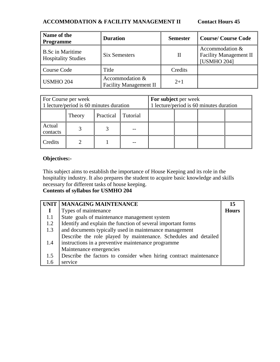# **ACCOMMODATION & FACILITY MANAGEMENT II Contact Hours 45**

| Name of the<br><b>Programme</b>                       | <b>Duration</b>                                  | <b>Semester</b> | <b>Course/Course Code</b>                                              |
|-------------------------------------------------------|--------------------------------------------------|-----------------|------------------------------------------------------------------------|
| <b>B.Sc in Maritime</b><br><b>Hospitality Studies</b> | Six Semesters                                    | П               | Accommodation &<br><b>Facility Management II</b><br><b>[USMHO 204]</b> |
| Course Code                                           | Title                                            | Credits         |                                                                        |
| <b>USMHO 204</b>                                      | Accommodation &<br><b>Facility Management II</b> | $2 + 1$         |                                                                        |

| For Course per week<br>1 lecture/period is 60 minutes duration |               |                    | For subject per week | 1 lecture/period is 60 minutes duration |  |  |
|----------------------------------------------------------------|---------------|--------------------|----------------------|-----------------------------------------|--|--|
|                                                                | <b>Theory</b> | Practical Tutorial |                      |                                         |  |  |
| Actual<br>contacts                                             |               |                    |                      |                                         |  |  |
| Credits                                                        |               |                    |                      |                                         |  |  |

## **Objectives:-**

This subject aims to establish the importance of House Keeping and its role in the hospitality industry. It also prepares the student to acquire basic knowledge and skills necessary for different tasks of house keeping.

|     | UNIT   MANAGING MAINTENANCE                                       | 15           |  |  |
|-----|-------------------------------------------------------------------|--------------|--|--|
|     | Types of maintenance                                              | <b>Hours</b> |  |  |
| 1.1 | State goals of maintenance management system                      |              |  |  |
| 1.2 | Identify and explain the function of several important forms      |              |  |  |
| 1.3 | and documents typically used in maintenance management            |              |  |  |
|     | Describe the role played by maintenance. Schedules and detailed   |              |  |  |
| 1.4 | instructions in a preventive maintenance programme                |              |  |  |
|     | Maintenance emergencies                                           |              |  |  |
| 1.5 | Describe the factors to consider when hiring contract maintenance |              |  |  |
| 1.6 | service                                                           |              |  |  |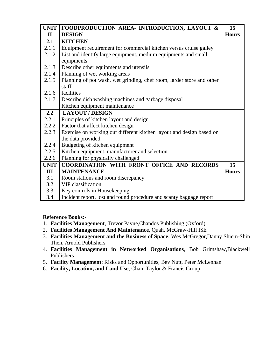| <b>UNIT</b>  | FOODPRODUCTION AREA- INTRODUCTION, LAYOUT &                           | 15           |
|--------------|-----------------------------------------------------------------------|--------------|
| $\mathbf{I}$ | <b>DESIGN</b>                                                         | <b>Hours</b> |
| 2.1          | <b>KITCHEN</b>                                                        |              |
| 2.1.1        | Equipment requirement for commercial kitchen versus cruise galley     |              |
| 2.1.2        | List and identify large equipment, medium equipments and small        |              |
|              | equipments                                                            |              |
| 2.1.3        | Describe other equipments and utensils                                |              |
| 2.1.4        | Planning of wet working areas                                         |              |
| 2.1.5        | Planning of pot wash, wet grinding, chef room, larder store and other |              |
|              | staff                                                                 |              |
| 2.1.6        | facilities                                                            |              |
| 2.1.7        | Describe dish washing machines and garbage disposal                   |              |
|              | Kitchen equipment maintenance                                         |              |
| 2.2          | <b>LAYOUT / DESIGN</b>                                                |              |
| 2.2.1        | Principles of kitchen layout and design                               |              |
| 2.2.2        | Factor that affect kitchen design                                     |              |
| 2.2.3        | Exercise on working out different kitchen layout and design based on  |              |
|              | the data provided                                                     |              |
| 2.2.4        | Budgeting of kitchen equipment                                        |              |
| 2.2.5        | Kitchen equipment, manufacturer and selection                         |              |
| 2.2.6        | Planning for physically challenged                                    |              |
| <b>UNIT</b>  | COORDINATION WITH FRONT OFFICE AND RECORDS                            | 15           |
| Ш            | <b>MAINTENANCE</b>                                                    | <b>Hours</b> |
| 3.1          | Room stations and room discrepancy                                    |              |
| 3.2          | VIP classification                                                    |              |
| 3.3          | Key controls in Housekeeping                                          |              |
| 3.4          | Incident report, lost and found procedure and scanty baggage report   |              |

# **Reference Books:-**

- 1. **Facilities Management**, Trevor Payne,Chandos Publishing (Oxford)
- 2. **Facilities Management And Maintenance**, Quah, McGraw-Hill ISE
- 3. **Facilities Management and the Business of Space**, Wes McGregor,Danny Shiem-Shin Then, Arnold Publishers
- 4. **Facilities Management in Networked Organisations**, Bob Grimshaw,Blackwell Publishers
- 5. **Facility Management**: Risks and Opportunities, Bev Nutt, Peter McLennan
- 6. **Facility, Location, and Land Use**, Chan, Taylor & Francis Group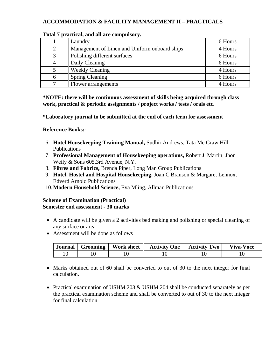# **ACCOMMODATION & FACILITY MANAGEMENT II – PRACTICALS**

| Laundry                                       | 6 Hours |
|-----------------------------------------------|---------|
| Management of Linen and Uniform onboard ships | 4 Hours |
| Polishing different surfaces                  | 6 Hours |
| Daily Cleaning                                | 6 Hours |
| <b>Weekly Cleaning</b>                        | 4 Hours |
| <b>Spring Cleaning</b>                        | 6 Hours |
| Flower arrangements                           | 4 Hours |

#### **Total 7 practical, and all are compulsory.**

**\*NOTE: there will be continuous assessment of skills being acquired through class work, practical & periodic assignments / project works / tests / orals etc.** 

**\*Laboratory journal to be submitted at the end of each term for assessment** 

## **Reference Books:-**

- 6. **Hotel Housekeeping Training Manual,** Sudhir Andrews, Tata Mc Graw Hill Publications
- 7. **Professional Management of Housekeeping operations,** Robert J. Martin, Jhon Weily & Sons 605,3rd Avenue, N.Y.
- 8. **Fibres and Fabrics,** Brenda Piper, Long Man Group Publications
- 9. **Hotel, Hostel and Hospital Housekeeping,** Joan C Branson & Margaret Lennox, Edverd Arnold Publications
- 10.**Modern Household Science,** Eva Mling, Allman Publications

## **Scheme of Examination (Practical) Semester end assessment - 30 marks**

- A candidate will be given a 2 activities bed making and polishing or special cleaning of any surface or area
- Assessment will be done as follows

| Journal | Grooming | <b>Work sheet</b> | <b>Activity One</b> | Activity Two | Viva-Voce |
|---------|----------|-------------------|---------------------|--------------|-----------|
|         |          |                   |                     |              |           |

- Marks obtained out of 60 shall be converted to out of 30 to the next integer for final calculation.
- Practical examination of USHM 203 & USHM 204 shall be conducted separately as per the practical examination scheme and shall be converted to out of 30 to the next integer for final calculation.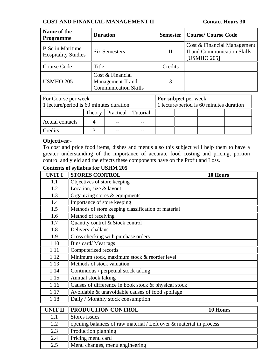## **COST AND FINANCIAL MANAGEMENT II Contact Hours 30**

| Name of the<br><b>Programme</b>                       | <b>Duration</b>                                                      |          | <b>Semester   Course/ Course Code</b>                                            |
|-------------------------------------------------------|----------------------------------------------------------------------|----------|----------------------------------------------------------------------------------|
| <b>B.Sc in Maritime</b><br><b>Hospitality Studies</b> | <b>Six Semesters</b>                                                 | $\rm II$ | Cost & Financial Management<br><b>II</b> and Communication Skills<br>[USMHO 205] |
| Course Code                                           | Title                                                                | Credits  |                                                                                  |
| <b>USMHO 205</b>                                      | Cost & Financial<br>Management II and<br><b>Communication Skills</b> | 3        |                                                                                  |

| <b>For Course per week</b>              |  |  |                                         | <b>For subject per week</b> |  |  |  |
|-----------------------------------------|--|--|-----------------------------------------|-----------------------------|--|--|--|
| 1 lecture/period is 60 minutes duration |  |  | 1 lecture/period is 60 minutes duration |                             |  |  |  |
| Theory Practical Tutorial               |  |  |                                         |                             |  |  |  |
| Actual contacts                         |  |  |                                         |                             |  |  |  |
| <b>Predits</b>                          |  |  |                                         |                             |  |  |  |

# **Objectives:-**

To cost and price food items, dishes and menus also this subject will help them to have a greater understanding of the importance of accurate food costing and pricing, portion control and yield and the effects these components have on the Profit and Loss.

| <b>UNIT I</b>  | <b>STORES CONTROL</b><br>10 Hours                                  |
|----------------|--------------------------------------------------------------------|
| 1.1            | Objectives of store keeping                                        |
| 1.2            | Location, size & layout                                            |
| 1.3            | Organizing stores & equipments                                     |
| 1.4            | Importance of store keeping                                        |
| 1.5            | Methods of store keeping classification of material                |
| 1.6            | Method of receiving                                                |
| 1.7            | Quantity control & Stock control                                   |
| 1.8            | Delivery challans                                                  |
| 1.9            | Cross checking with purchase orders                                |
| 1.10           | Bins card/Meat tags                                                |
| 1.11           | Computerized records                                               |
| 1.12           | Minimum stock, maximum stock & reorder level                       |
| 1.13           | Methods of stock valuation                                         |
| 1.14           | Continuous / perpetual stock taking                                |
| 1.15           | Annual stock taking                                                |
| 1.16           | Causes of difference in book stock & physical stock                |
| 1.17           | Avoidable & unavoidable causes of food spoilage                    |
| 1.18           | Daily / Monthly stock consumption                                  |
| <b>UNIT II</b> | PRODUCTION CONTROL<br>10 Hours                                     |
|                |                                                                    |
| 2.1            | Stores issues                                                      |
| 2.2            | opening balances of raw material / Left over & material in process |
| 2.3            | Production planning                                                |
| 2.4            | Pricing menu card                                                  |
| 2.5            | Menu changes, menu engineering                                     |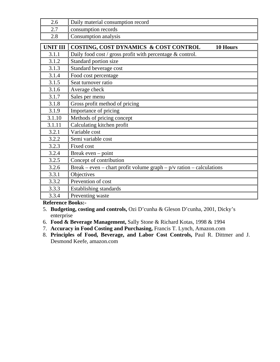| 2.6             | Daily material consumption record                                      |
|-----------------|------------------------------------------------------------------------|
| 2.7             | consumption records                                                    |
| 2.8             | Consumption analysis                                                   |
| <b>UNIT III</b> | COSTING, COST DYNAMICS & COST CONTROL<br>10 Hours                      |
| 3.1.1           | Daily food cost / gross profit with percentage $&$ control.            |
| 3.1.2           | Standard portion size                                                  |
| 3.1.3           | Standard beverage cost                                                 |
| 3.1.4           | Food cost percentage                                                   |
| 3.1.5           | Seat turnover ratio                                                    |
| 3.1.6           | Average check                                                          |
| 3.1.7           | Sales per menu                                                         |
| 3.1.8           | Gross profit method of pricing                                         |
| 3.1.9           | Importance of pricing                                                  |
| 3.1.10          | Methods of pricing concept                                             |
| 3.1.11          | Calculating kitchen profit                                             |
| 3.2.1           | Variable cost                                                          |
| 3.2.2           | Semi variable cost                                                     |
| 3.2.3           | <b>Fixed cost</b>                                                      |
| 3.2.4           | Break even – point                                                     |
| 3.2.5           | Concept of contribution                                                |
| 3.2.6           | Break – even – chart profit volume graph – $p/v$ ration – calculations |
| 3.3.1           | Objectives                                                             |
| 3.3.2           | Prevention of cost                                                     |
| 3.3.3           | Establishing standards                                                 |
| 3.3.4           | Preventing waste                                                       |

**Reference Books:-** 

- 5. **Budgeting, costing and controls,** Ozi D'cunha & Gleson D'cunha, 2001, Dicky's enterprise
- 6. **Food & Beverage Management,** Sally Stone & Richard Kotas, 1998 & 1994
- 7. **Accuracy in Food Costing and Purchasing,** Francis T. Lynch, Amazon.com
- 8. **Principles of Food, Beverage, and Labor Cost Controls,** Paul R. Dittmer and J. Desmond Keefe, amazon.com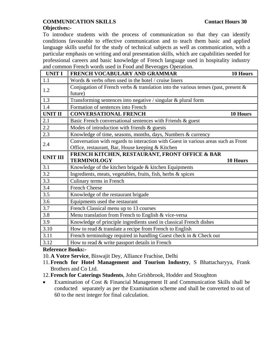# **COMMUNICATION SKILLS Contact Hours 30**

## **Objectives:-**

To introduce students with the process of communication so that they can identify conditions favourable to effective communication and to teach them basic and applied language skills useful for the study of technical subjects as well as communication, with a particular emphasis on writing and oral presentation skills, which are capabilities needed for professional careers and basic knowledge of French language used in hospitality industry and common French words used in Food and Beverages Operation.

| <b>UNIT I</b>   | FRENCH VOCABULARY AND GRAMMAR<br>10 Hours                                                                                              |  |  |  |
|-----------------|----------------------------------------------------------------------------------------------------------------------------------------|--|--|--|
| 1.1             | Words & verbs often used in the hotel / cruise liners                                                                                  |  |  |  |
| 1.2             | Conjugation of French verbs $\&$ translation into the various tenses (past, present $\&$<br>future)                                    |  |  |  |
| 1.3             | Transforming sentences into negative / singular & plural form                                                                          |  |  |  |
| 1.4             | Formation of sentences into French                                                                                                     |  |  |  |
| <b>UNIT II</b>  | <b>CONVERSATIONAL FRENCH</b><br>10 Hours                                                                                               |  |  |  |
| 2.1             | Basic French conversational sentences with Friends & guest                                                                             |  |  |  |
| 2.2             | Modes of introduction with friends $\&$ guests                                                                                         |  |  |  |
| 2.3             | Knowledge of time, seasons, months, days, Numbers & currency                                                                           |  |  |  |
| 2.4             | Conversation with regards to interaction with Guest in various areas such as Front<br>Office, restaurant, Bar, House keeping & Kitchen |  |  |  |
| <b>UNIT III</b> | FRENCH KITCHEN, RESTAURANT, FRONT OFFICE & BAR<br><b>TERMINOLOGY</b><br>10 Hours                                                       |  |  |  |
| 3.1             | Knowledge of the kitchen brigade & kitchen Equipments                                                                                  |  |  |  |
| 3.2             | Ingredients, meats, vegetables, fruits, fish, herbs & spices                                                                           |  |  |  |
| 3.3             | Culinary terms in French                                                                                                               |  |  |  |
| 3.4             | <b>French Cheese</b>                                                                                                                   |  |  |  |
| 3.5             | Knowledge of the restaurant brigade                                                                                                    |  |  |  |
| 3.6             | Equipments used the restaurant                                                                                                         |  |  |  |
| 3.7             | French Classical menu up to 13 courses                                                                                                 |  |  |  |
| 3.8             | Menu translation from French to English & vice-versa                                                                                   |  |  |  |
| 3.9             | Knowledge of principle ingredients used in classical French dishes                                                                     |  |  |  |
| 3.10            | How to read & translate a recipe from French to English                                                                                |  |  |  |
| 3.11            | French terminology required in handling Guest check in & Check out                                                                     |  |  |  |
| 3.12            | How to read & write passport details in French                                                                                         |  |  |  |

**Reference Books:-** 

10.**A Votre Service**, Biswajit Dey, Alliance Frachise, Delhi

11.**French for Hotel Management and Tourism Industry**, S Bhattacharyya, Frank Brothers and Co Ltd.

12.**French for Caterings Students**, John Grishbrook, Hodder and Stoughton

• Examination of Cost & Financial Management II and Communication Skills shall be conducted separately as per the Examination scheme and shall be converted to out of 60 to the next integer for final calculation.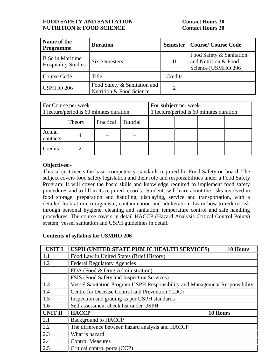## **FOOD SAFETY AND SANITATION Contact Hours 30 NUTRITION & FOOD SCIENCE Contact Hours 30**

| Name of the<br><b>Programme</b>                       | <b>Duration</b>                                          |                             | <b>Semester   Course/ Course Code</b>                                   |
|-------------------------------------------------------|----------------------------------------------------------|-----------------------------|-------------------------------------------------------------------------|
| <b>B.Sc in Maritime</b><br><b>Hospitality Studies</b> | <b>Six Semesters</b>                                     | П                           | Food Safety & Sanitation<br>and Nutrition & Food<br>Science [USMHO 206] |
| Course Code                                           | Title                                                    | Credits                     |                                                                         |
| <b>USMHO 206</b>                                      | Food Safety & Sanitation and<br>Nutrition & Food Science | $\mathcal{D}_{\mathcal{L}}$ |                                                                         |

| For Course per week<br>1 lecture/period is 60 minutes duration |  |  | For subject per week<br>1 lecture/period is 60 minutes duration |  |  |  |  |
|----------------------------------------------------------------|--|--|-----------------------------------------------------------------|--|--|--|--|
| Practical Tutorial<br>Theory                                   |  |  |                                                                 |  |  |  |  |
| Actual<br>contacts                                             |  |  |                                                                 |  |  |  |  |
| Credits                                                        |  |  |                                                                 |  |  |  |  |

## **Objectives:-**

This subject meets the basic competency standards required for Food Safety on board. The subject covers food safety legislation and their role and responsibilities under a Food Safety Program. It will cover the basic skills and knowledge required to implement food safety procedures and to fill in its required records. Students will learn about the risks involved in food storage, preparation and handling, displaying, service and transportation, with a detailed look at micro organism, contamination and adulteration. Learn how to reduce risk through personal hygiene, cleaning and sanitation, temperature control and safe handling procedures. The course covers in detail HACCP (Hazard Analysis Critical Control Points) system, vessel sanitation and USPH guidelines in detail.

| <b>UNIT I</b>    | USPH (UNITED STATE PUBLIC HEALTH SERVICES)<br>10 Hours                      |
|------------------|-----------------------------------------------------------------------------|
| 1.1              | Food Law in United States (Brief History)                                   |
| $\vert$ 1.2      | <b>Federal Regulatory Agencies</b>                                          |
|                  | FDA (Food & Drug Administration)                                            |
|                  | FSIS (Food Safety and Inspection Services)                                  |
| $\vert$ 1.3      | Vessel Sanitation Program USPH Responsibility and Management Responsibility |
| 1.4              | Centre for Decease Control and Prevention (CDC)                             |
| $\vert$ 1.5      | Inspection and grading as per USPH standards                                |
| $\vert$ 1.6      | Self assessment check list under USPH                                       |
| UNIT II          | <b>HACCP</b><br>10 Hours                                                    |
| $\sqrt{2.1}$     | <b>Background to HACCP</b>                                                  |
| $\overline{2.2}$ | The difference between hazard analysis and HACCP                            |
| $\vert$ 2.3      | What is hazard                                                              |
| 2.4              | <b>Control Measures</b>                                                     |
| 2.5              | Critical control ports (CCP)                                                |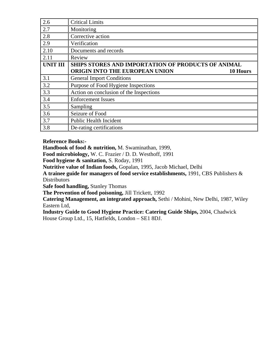| 2.6             | <b>Critical Limits</b>                             |
|-----------------|----------------------------------------------------|
| 2.7             | Monitoring                                         |
| 2.8             | Corrective action                                  |
| 2.9             | Verification                                       |
| 2.10            | Documents and records                              |
| 2.11            | Review                                             |
| <b>UNIT III</b> | SHIPS STORES AND IMPORTATION OF PRODUCTS OF ANIMAL |
|                 | ORIGIN INTO THE EUROPEAN UNION<br>10 Hours         |
| 3.1             | <b>General Import Conditions</b>                   |
| 3.2             | Purpose of Food Hygiene Inspections                |
| 3.3             | Action on conclusion of the Inspections            |
| 3.4             | <b>Enforcement Issues</b>                          |
| 3.5             |                                                    |
|                 | Sampling                                           |
| 3.6             | Seizure of Food                                    |
| 3.7             | <b>Public Health Incident</b>                      |

**Reference Books:-** 

**Handbook of food & nutrition,** M. Swaminathan, 1999,

**Food microbiology,** W. C. Frazier / D. D. Westhoff, 1991

**Food hygiene & sanitation,** S. Roday, 1991

**Nutritive value of Indian foods,** Gopalan, 1995, Jacob Michael, Delhi

**A trainee guide for managers of food service establishments,** 1991, CBS Publishers & **Distributors** 

**Safe food handling,** Stanley Thomas

**The Prevention of food poisoning,** Jill Trickett, 1992

**Catering Management, an integrated approach,** Sethi / Mohini, New Delhi, 1987, Wiley Eastern Ltd,

**Industry Guide to Good Hygiene Practice: Catering Guide Ships,** 2004, Chadwick House Group Ltd., 15, Hatfields, London – SE1 8DJ.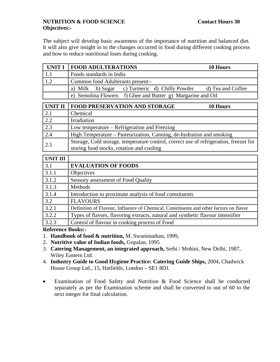## **NUTRITION & FOOD SCIENCE** Contact Hours 30 **Objectives:-**

The subject will develop basic awareness of the importance of nutrition and balanced diet. It will also give insight in to the changes occurred in food during different cooking process and how to reduce nutritional loses during cooking.

| <b>UNIT I</b>  | <b>FOOD ADULTERATIONS</b><br>10 Hours                                 |  |  |  |  |
|----------------|-----------------------------------------------------------------------|--|--|--|--|
| 1.1            | Foods standards in India                                              |  |  |  |  |
| 1.2            | Common food Adulterants present:-                                     |  |  |  |  |
|                | b) Sugar c) Turmeric d) Chilly Powder<br>d) Tea and Coffee<br>a) Milk |  |  |  |  |
|                | e) Semolina Flowers f) Ghee and Butter g) Margarine and Oil           |  |  |  |  |
|                |                                                                       |  |  |  |  |
| <b>UNIT II</b> | <b>FOOD PRESERVATION AND STORAGE</b><br>10 Hours                      |  |  |  |  |
| 2.1            | Chemical                                                              |  |  |  |  |
| 2.2            | Irradiation                                                           |  |  |  |  |
| 2.3            | Low temperature – Refrigeration and Freezing                          |  |  |  |  |
| 2.4            | High Temperature – Pasteurization, Canning, de-hydration and smoking  |  |  |  |  |

| $\sim$ . T | $\mathbf{I}$ right remperature $\mathbf{I}$ asieurization, ealiming, de-hydration and smoking |
|------------|-----------------------------------------------------------------------------------------------|
| 2.5        | Storage, Cold storage, temperature control, correct use of refrigeration, freezer for         |
|            | storing food stocks, rotation and cooling                                                     |

| <b>UNIT III</b> |                                                                                        |
|-----------------|----------------------------------------------------------------------------------------|
| 3.1             | <b>EVALUATION OF FOODS</b>                                                             |
| 3.1.1           | Objectives                                                                             |
| 3.1.2           | Sensory assessment of Food Quality                                                     |
| 3.1.3           | Methods                                                                                |
| 3.1.4           | Introduction to proximate analysis of food constituents                                |
| 3.2             | <b>FLAVOURS</b>                                                                        |
| 3.2.1           | Definition of Flavour, Influence of Chemical, Constituents and other factors on flavor |
| 3.2.2           | Types of flavors, flavoring extracts, natural and synthetic flavour intensifier        |
| 3.2.3           | Control of flavour in cooking process of Food                                          |

## **Reference Books:-**

- 1. **Handbook of food & nutrition,** M. Swaminathan, 1999,
- 2. **Nutritive value of Indian foods,** Gopalan, 1995
- 3. **Catering Management, an integrated approach,** Sethi / Mohini, New Delhi, 1987, Wiley Eastern Ltd.
- 4. **Industry Guide to Good Hygiene Practice: Catering Guide Ships,** 2004, Chadwick House Group Ltd., 15, Hatfields, London – SE1 8DJ.
- Examination of Food Safety and Nutrition & Food Science shall be conducted separately as per the Examination scheme and shall be converted to out of 60 to the next integer for final calculation.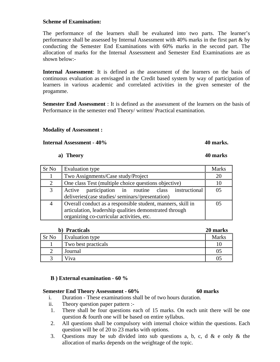## **Scheme of Examination:**

The performance of the learners shall be evaluated into two parts. The learner's performance shall be assessed by Internal Assessment with 40% marks in the first part & by conducting the Semester End Examinations with 60% marks in the second part. The allocation of marks for the Internal Assessment and Semester End Examinations are as shown below:-

**Internal Assessment**: It is defined as the assessment of the learners on the basis of continuous evaluation as envisaged in the Credit based system by way of participation of learners in various academic and correlated activities in the given semester of the progamme.

**Semester End Assessment** : It is defined as the assessment of the learners on the basis of Performance in the semester end Theory/ written/ Practical examination.

## **Modality of Assessment :**

**Internal Assessment - 40% 40 marks. 40 marks. 40 marks.** 

### **a) Theory 40 marks**

| Sr No | Evaluation type                                                                                                                                                     | <b>Marks</b> |
|-------|---------------------------------------------------------------------------------------------------------------------------------------------------------------------|--------------|
|       | Two Assignments/Case study/Project                                                                                                                                  | 20           |
| 2     | One class Test (multiple choice questions objective)                                                                                                                |              |
| 3     | Active participation in routine class instructional<br>deliveries(case studies/seminars//presentation)                                                              | ሰና           |
| 4     | Overall conduct as a responsible student, manners, skill in<br>articulation, leadership qualities demonstrated through<br>organizing co-curricular activities, etc. |              |

| b) Practicals |                     | 20 marks     |
|---------------|---------------------|--------------|
| Sr No         | Evaluation type     | <b>Marks</b> |
|               | Two best practicals |              |
|               | Journal             |              |
|               | Viva                |              |

## **B ) External examination - 60 %**

#### **Semester End Theory Assessment - 60% 60 marks**

- i. Duration These examinations shall be of two hours duration.
- ii. Theory question paper pattern :-
- 1. There shall be four questions each of 15 marks. On each unit there will be one question & fourth one will be based on entire syllabus.
- 2. All questions shall be compulsory with internal choice within the questions. Each question will be of 20 to 23 marks with options.
- 3. Questions may be sub divided into sub questions a, b, c, d & e only & the allocation of marks depends on the weightage of the topic.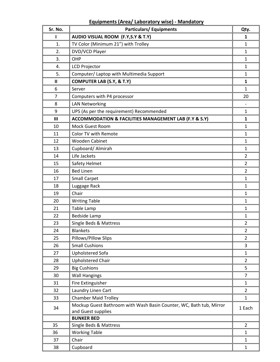# **Equipments (Area/ Laboratory wise) ‐ Mandatory**

| Sr. No. | <b>Particulars/Equipments</b>                                                             | Qty.           |
|---------|-------------------------------------------------------------------------------------------|----------------|
|         | AUDIO VISUAL ROOM (F.Y, S.Y & T.Y)                                                        | 1              |
| 1.      | TV Color (Minimum 21") with Trolley                                                       | $\mathbf{1}$   |
| 2.      | DVD/VCD Player                                                                            | $\mathbf{1}$   |
| 3.      | OHP                                                                                       | 1              |
| 4.      | <b>LCD Projector</b>                                                                      | $\mathbf{1}$   |
| 5.      | Computer/ Laptop with Multimedia Support                                                  | $\mathbf{1}$   |
| Ш       | <b>COMPUTER LAB (S.Y, &amp; T.Y)</b>                                                      | $\mathbf{1}$   |
| 6       | Server                                                                                    | 1              |
| 7       | Computers with P4 processor                                                               | 20             |
| 8       | <b>LAN Networking</b>                                                                     |                |
| 9       | UPS (As per the requirement) Recommended                                                  | $\mathbf{1}$   |
| III     | ACCOMMODATION & FACILITIES MANAGEMENT LAB (F.Y & S.Y)                                     | $\mathbf{1}$   |
| 10      | Mock Guest Room                                                                           | 1              |
| 11      | Color TV with Remote                                                                      | $\mathbf{1}$   |
| 12      | <b>Wooden Cabinet</b>                                                                     | $\mathbf{1}$   |
| 13      | Cupboard/ Almirah                                                                         | $\mathbf{1}$   |
| 14      | Life Jackets                                                                              | $\overline{2}$ |
| 15      | Safety Helmet                                                                             | $\overline{2}$ |
| 16      | <b>Bed Linen</b>                                                                          | $\overline{2}$ |
| 17      | <b>Small Carpet</b>                                                                       | $\mathbf{1}$   |
| 18      | Luggage Rack                                                                              | 1              |
| 19      | Chair                                                                                     | 1              |
| 20      | <b>Writing Table</b>                                                                      | 1              |
| 21      | Table Lamp                                                                                | $\mathbf{1}$   |
| 22      | <b>Bedside Lamp</b>                                                                       | 1              |
| 23      | Single Beds & Mattress                                                                    | $\overline{2}$ |
| 24      | Blankets                                                                                  | $\overline{2}$ |
| 25      | Pillows/Pillow Slips                                                                      | $\overline{2}$ |
| 26      | <b>Small Cushions</b>                                                                     | 3              |
| 27      | Upholstered Sofa                                                                          | $\mathbf{1}$   |
| 28      | <b>Upholstered Chair</b>                                                                  | $\overline{2}$ |
| 29      | <b>Big Cushions</b>                                                                       | 5              |
| 30      | <b>Wall Hangings</b>                                                                      | $\overline{7}$ |
| 31      | Fire Extinguisher                                                                         | $\mathbf{1}$   |
| 32      | Laundry Linen Cart                                                                        | $\overline{2}$ |
| 33      | <b>Chamber Maid Trolley</b>                                                               | $\mathbf{1}$   |
| 34      | Mockup Guest Bathroom with Wash Basin Counter, WC, Bath tub, Mirror<br>and Guest supplies | 1 Each         |
|         | <b>BUNKER BED</b>                                                                         |                |
| 35      | Single Beds & Mattress                                                                    | $\overline{2}$ |
| 36      | <b>Working Table</b>                                                                      | $\mathbf{1}$   |
| 37      | Chair                                                                                     | $\mathbf{1}$   |
| 38      | Cupboard                                                                                  | $\mathbf{1}$   |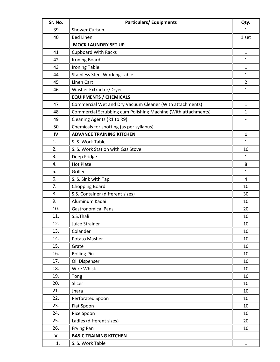| Sr. No.     | <b>Particulars/Equipments</b>                                 | Qty.           |  |  |
|-------------|---------------------------------------------------------------|----------------|--|--|
| 39          | <b>Shower Curtain</b>                                         |                |  |  |
| 40          | <b>Bed Linen</b>                                              |                |  |  |
|             | <b>MOCK LAUNDRY SET UP</b>                                    |                |  |  |
| 41          | <b>Cupboard With Racks</b>                                    | $\mathbf{1}$   |  |  |
| 42          | <b>Ironing Board</b>                                          | $\mathbf{1}$   |  |  |
| 43          | <b>Ironing Table</b>                                          | $\mathbf{1}$   |  |  |
| 44          | <b>Stainless Steel Working Table</b>                          | $\mathbf{1}$   |  |  |
| 45          | Linen Cart                                                    | $\overline{2}$ |  |  |
| 46          | Washer Extractor/Dryer                                        | $\mathbf{1}$   |  |  |
|             | <b>EQUIPMENTS / CHEMICALS</b>                                 |                |  |  |
| 47          | Commercial Wet and Dry Vacuum Cleaner (With attachments)      | 1              |  |  |
| 48          | Commercial Scrubbing cum Polishing Machine (With attachments) | $\mathbf{1}$   |  |  |
| 49          | Cleaning Agents (R1 to R9)                                    |                |  |  |
| 50          | Chemicals for spotting (as per syllabus)                      |                |  |  |
| IV          | <b>ADVANCE TRAINING KITCHEN</b>                               | $\mathbf{1}$   |  |  |
| 1.          | S. S. Work Table                                              | $\mathbf{1}$   |  |  |
| 2.          | S. S. Work Station with Gas Stove                             | 10             |  |  |
| 3.          | Deep Fridge                                                   | $\mathbf{1}$   |  |  |
| 4.          | <b>Hot Plate</b>                                              | 8              |  |  |
| 5.          | Griller                                                       | $\mathbf{1}$   |  |  |
| 6.          | S. S. Sink with Tap                                           | 4              |  |  |
| 7.          | <b>Chopping Board</b>                                         | 10             |  |  |
| 8.          | S.S. Container (different sizes)                              | 30             |  |  |
| 9.          | Aluminum Kadai                                                | 10             |  |  |
| 10.         | <b>Gastronomical Pans</b>                                     | 20             |  |  |
| 11.         | S.S.Thali                                                     | 10             |  |  |
| 12.         | Juice Strainer                                                | 10             |  |  |
| 13.         | Colander                                                      | 10             |  |  |
| 14.         | Potato Masher                                                 | 10             |  |  |
| 15.         | Grate                                                         | 10             |  |  |
| 16.         | <b>Rolling Pin</b>                                            | 10             |  |  |
| 17.         | Oil Dispenser                                                 | 10             |  |  |
| 18.         | Wire Whisk                                                    | 10             |  |  |
| 19.         | Tong                                                          | 10             |  |  |
| 20.         | Slicer                                                        | 10             |  |  |
| 21.         | Jhara                                                         | 10             |  |  |
| 22.         | Perforated Spoon                                              | 10             |  |  |
| 23.         | Flat Spoon                                                    | 10             |  |  |
| 24.         | Rice Spoon                                                    | 10             |  |  |
| 25.         | Ladles (different sizes)                                      | 20             |  |  |
| 26.         | Frying Pan                                                    | 10             |  |  |
| $\mathbf v$ | <b>BASIC TRAINING KITCHEN</b>                                 |                |  |  |
| 1.          | S. S. Work Table                                              | $\mathbf{1}$   |  |  |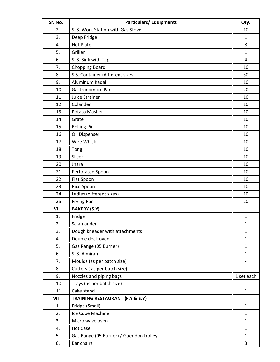| Sr. No. | <b>Particulars/Equipments</b>              | Qty.         |
|---------|--------------------------------------------|--------------|
| 2.      | S. S. Work Station with Gas Stove          | 10           |
| 3.      | Deep Fridge                                | 1            |
| 4.      | <b>Hot Plate</b>                           | 8            |
| 5.      | Griller                                    | $\mathbf{1}$ |
| 6.      | S. S. Sink with Tap                        | 4            |
| 7.      | <b>Chopping Board</b>                      | 10           |
| 8.      | S.S. Container (different sizes)           | 30           |
| 9.      | Aluminum Kadai                             | 10           |
| 10.     | <b>Gastronomical Pans</b>                  | 20           |
| 11.     | Juice Strainer                             | 10           |
| 12.     | Colander                                   | 10           |
| 13.     | Potato Masher                              | 10           |
| 14.     | Grate                                      | 10           |
| 15.     | <b>Rolling Pin</b>                         | 10           |
| 16.     | Oil Dispenser                              | 10           |
| 17.     | Wire Whisk                                 | 10           |
| 18.     | Tong                                       | 10           |
| 19.     | Slicer                                     | 10           |
| 20.     | Jhara                                      | 10           |
| 21.     | Perforated Spoon                           | 10           |
| 22.     | Flat Spoon                                 | 10           |
| 23.     | Rice Spoon                                 | 10           |
| 24.     | Ladles (different sizes)                   | 10           |
| 25.     | Frying Pan                                 | 20           |
| VI      | <b>BAKERY (S.Y)</b>                        |              |
| 1.      | Fridge                                     | 1            |
| 2.      | Salamander                                 | $\mathbf{1}$ |
| 3.      | Dough kneader with attachments             | $\mathbf{1}$ |
| 4.      | Double deck oven                           | $\mathbf{1}$ |
| 5.      | Gas Range (05 Burner)                      | $\mathbf{1}$ |
| 6.      | S. S. Almirah                              | $\mathbf{1}$ |
| 7.      | Moulds (as per batch size)                 |              |
| 8.      | Cutters (as per batch size)                |              |
| 9.      | Nozzles and piping bags                    | 1 set each   |
| 10.     | Trays (as per batch size)                  |              |
| 11.     | Cake stand                                 | $\mathbf{1}$ |
| VII     | <b>TRAINING RESTAURANT (F.Y &amp; S.Y)</b> |              |
| 1.      | Fridge (Small)                             | $\mathbf{1}$ |
| 2.      | Ice Cube Machine                           | $\mathbf{1}$ |
| 3.      | Micro wave oven                            | $\mathbf{1}$ |
| 4.      | <b>Hot Case</b>                            | $\mathbf{1}$ |
| 5.      | Gas Range (05 Burner) / Gueridon trolley   | $\mathbf{1}$ |
| 6.      | Bar chairs                                 | 3            |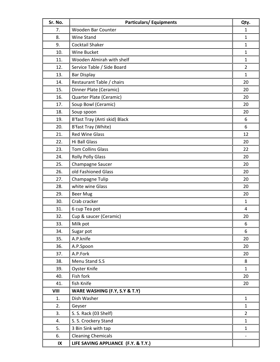| Sr. No.                | <b>Particulars/Equipments</b>       | Qty.           |
|------------------------|-------------------------------------|----------------|
| 7.                     | Wooden Bar Counter                  | 1              |
| 8.                     | <b>Wine Stand</b>                   | $\mathbf{1}$   |
| 9.                     | <b>Cocktail Shaker</b>              | $\mathbf{1}$   |
| 10.                    | Wine Bucket                         | $\mathbf{1}$   |
| 11.                    | Wooden Almirah with shelf           | $\mathbf{1}$   |
| 12.                    | Service Table / Side Board          | $\overline{2}$ |
| 13.                    | <b>Bar Display</b>                  | $\mathbf{1}$   |
| 14.                    | Restaurant Table / chairs           | 20             |
| 15.                    | Dinner Plate (Ceramic)              | 20             |
| 16.                    | Quarter Plate (Ceramic)             | 20             |
| 17.                    | Soup Bowl (Ceramic)                 | 20             |
| 18.                    | Soup spoon                          | 20             |
| 19.                    | B'fast Tray (Anti skid) Black       | 6              |
| 20.                    | B'fast Tray (White)                 | 6              |
| 21.                    | <b>Red Wine Glass</b>               | 12             |
| 22.                    | Hi Ball Glass                       | 20             |
| 23.                    | <b>Tom Collins Glass</b>            | 22             |
| 24.                    | <b>Rolly Polly Glass</b>            | 20             |
| 25.                    | Champagne Saucer                    | 20             |
| 26.                    | old Fashioned Glass                 | 20             |
| 27.                    | Champagne Tulip                     | 20             |
| 28.                    | white wine Glass                    | 20             |
| 29.                    | <b>Beer Mug</b>                     | 20             |
| 30.                    | Crab cracker                        | $\mathbf{1}$   |
| 31.                    | 6 cup Tea pot                       | 4              |
| 32.                    | Cup & saucer (Ceramic)              | 20             |
| 33.                    | Milk pot                            | 6              |
| 34.                    | Sugar pot                           | 6              |
| 35.                    | A.P.knife                           | 20             |
| 36.                    | A.P.Spoon                           | 20             |
| 37.                    | A.P.Fork                            | 20             |
| 38.                    | Menu Stand S.S                      | 8              |
| 39.                    | <b>Oyster Knife</b>                 | $\mathbf{1}$   |
| 40.                    | Fish fork                           | 20             |
| 41.                    | fish Knife                          | 20             |
| VIII                   | WARE WASHING (F.Y, S.Y & T.Y)       |                |
| 1.                     | Dish Washer                         | $\mathbf{1}$   |
| 2.                     | Geyser                              | $\mathbf{1}$   |
| 3.                     | S. S. Rack (03 Shelf)               | $\overline{2}$ |
| 4.                     | S. S. Crockery Stand                | $\mathbf{1}$   |
| 5.                     | 3 Bin Sink with tap                 | $\mathbf{1}$   |
| 6.                     | <b>Cleaning Chemicals</b>           |                |
| $\mathsf{I}\mathsf{X}$ | LIFE SAVING APPLIANCE (F.Y. & T.Y.) |                |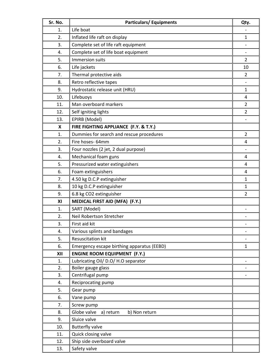| Sr. No. | <b>Particulars/Equipments</b>              | Qty.           |  |  |  |
|---------|--------------------------------------------|----------------|--|--|--|
| 1.      | Life boat                                  |                |  |  |  |
| 2.      | Inflated life raft on display              | 1              |  |  |  |
| 3.      | Complete set of life raft equipment        |                |  |  |  |
| 4.      | Complete set of life boat equipment        |                |  |  |  |
| 5.      | Immersion suits                            | $\overline{2}$ |  |  |  |
| 6.      | Life jackets                               | 10             |  |  |  |
| 7.      | Thermal protective aids                    | 2              |  |  |  |
| 8.      | Retro reflective tapes                     |                |  |  |  |
| 9.      | Hydrostatic release unit (HRU)             | 1              |  |  |  |
| 10.     | Lifebuoys                                  | 4              |  |  |  |
| 11.     | Man overboard markers                      | $\overline{2}$ |  |  |  |
| 12.     | Self igniting lights                       | $\overline{2}$ |  |  |  |
| 13.     | EPIRB (Model)                              |                |  |  |  |
| X       | FIRE FIGHTING APPLIANCE (F.Y. & T.Y.)      |                |  |  |  |
| 1.      | Dummies for search and rescue procedures   | $\overline{2}$ |  |  |  |
| 2.      | Fire hoses- 64mm                           | 4              |  |  |  |
| 3.      | Four nozzles (2 jet, 2 dual purpose)       |                |  |  |  |
| 4.      | Mechanical foam guns                       | 4              |  |  |  |
| 5.      | Pressurized water extinguishers            | 4              |  |  |  |
| 6.      | Foam extinguishers                         | 4              |  |  |  |
| 7.      | 4.50 kg D.C.P extinguisher                 | $\mathbf{1}$   |  |  |  |
| 8.      | 10 kg D.C.P extinguisher                   | $\mathbf{1}$   |  |  |  |
| 9.      | 6.8 kg CO2 extinguisher                    | $\overline{2}$ |  |  |  |
| XI      | MEDICAL FIRST AID (MFA) (F.Y.)             |                |  |  |  |
| 1.      | SART (Model)                               |                |  |  |  |
| 2.      | Neil Robertson Stretcher                   |                |  |  |  |
| 3.      | First aid kit                              |                |  |  |  |
| 4.      | Various splints and bandages               |                |  |  |  |
| 5.      | Resuscitation kit                          |                |  |  |  |
| 6.      | Emergency escape birthing apparatus (EEBD) | $\mathbf{1}$   |  |  |  |
| XII     | <b>ENGINE ROOM EQUIPMENT (F.Y.)</b>        |                |  |  |  |
| 1.      | Lubricating Oil/ D.O/ H.O separator        |                |  |  |  |
| 2.      | Boiler gauge glass                         |                |  |  |  |
| 3.      | Centrifugal pump                           |                |  |  |  |
| 4.      | Reciprocating pump                         |                |  |  |  |
| 5.      | Gear pump                                  |                |  |  |  |
| 6.      | Vane pump                                  |                |  |  |  |
| 7.      | Screw pump                                 |                |  |  |  |
| 8.      | Globe valve<br>b) Non return<br>a) return  |                |  |  |  |
| 9.      | Sluice valve                               |                |  |  |  |
| 10.     | <b>Butterfly valve</b>                     |                |  |  |  |
| 11.     | Quick closing valve                        |                |  |  |  |
| 12.     | Ship side overboard valve                  |                |  |  |  |
| 13.     | Safety valve                               |                |  |  |  |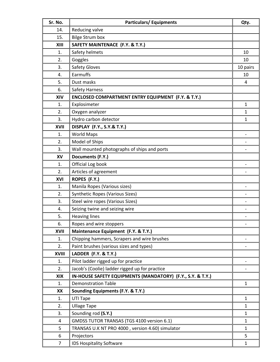| Sr. No.      | <b>Particulars/Equipments</b>                                 |              |  |  |
|--------------|---------------------------------------------------------------|--------------|--|--|
| 14.          | Reducing valve                                                |              |  |  |
| 15.          | <b>Bilge Strum box</b>                                        |              |  |  |
| XIII         | SAFETY MAINTENACE (F.Y. & T.Y.)                               |              |  |  |
| 1.           | Safety helmets                                                | 10           |  |  |
| 2.           | Goggles                                                       | 10           |  |  |
| 3.           | <b>Safety Gloves</b>                                          | 10 pairs     |  |  |
| 4.           | Earmuffs                                                      | 10           |  |  |
| 5.           | Dust masks                                                    | 4            |  |  |
| 6.           | <b>Safety Harness</b>                                         |              |  |  |
| XIV          | <b>ENCLOSED COMPARTMENT ENTRY EQUIPMENT (F.Y. &amp; T.Y.)</b> |              |  |  |
| 1.           | Explosimeter                                                  | $\mathbf{1}$ |  |  |
| 2.           | Oxygen analyzer                                               | $\mathbf{1}$ |  |  |
| 3.           | Hydro carbon detector                                         | 1            |  |  |
| <b>XVII</b>  | <b>DISPLAY (F.Y., S.Y.&amp; T.Y.)</b>                         |              |  |  |
| 1.           | <b>World Maps</b>                                             |              |  |  |
| 2.           | Model of Ships                                                |              |  |  |
| 3.           | Wall mounted photographs of ships and ports                   |              |  |  |
| XV           | Documents (F.Y.)                                              |              |  |  |
| 1.           | Official Log book                                             |              |  |  |
| 2.           | Articles of agreement                                         |              |  |  |
| XVI          | ROPES (F.Y.)                                                  |              |  |  |
| 1.           | Manila Ropes (Various sizes)                                  |              |  |  |
| 2.           | Synthetic Ropes (Various Sizes)                               |              |  |  |
| 3.           | Steel wire ropes (Various Sizes)                              |              |  |  |
| 4.           | Seizing twine and seizing wire                                |              |  |  |
| 5.           | <b>Heaving lines</b>                                          |              |  |  |
| 6.           | Ropes and wire stoppers                                       |              |  |  |
| XVII         | Maintenance Equipment (F.Y. & T.Y.)                           |              |  |  |
| 1.           | Chipping hammers, Scrapers and wire brushes                   |              |  |  |
| 2.           | Paint brushes (various sizes and types)                       |              |  |  |
| <b>XVIII</b> | <b>LADDER (F.Y. &amp; T.Y.)</b>                               |              |  |  |
| 1.           | Pilot ladder rigged up for practice                           |              |  |  |
| 2.           | Jacob's (Coolie) ladder rigged up for practice                |              |  |  |
| XIX          | IN-HOUSE SAFETY EQUIPMENTS (MANDATORY) (F.Y., S.Y. & T.Y.)    |              |  |  |
| 1.           | <b>Demonstration Table</b>                                    | $\mathbf{1}$ |  |  |
| XX           | <b>Sounding Equipments (F.Y. &amp; T.Y.)</b>                  |              |  |  |
| 1.           | UTI Tape                                                      | $\mathbf{1}$ |  |  |
| 2.           | <b>Ullage Tape</b>                                            |              |  |  |
| 3.           | Sounding rod (S.Y.)                                           | $\mathbf{1}$ |  |  |
| 4            | GMDSS TUTOR TRANSAS (TGS 4100 version 6.1)                    | $\mathbf{1}$ |  |  |
| 5            | TRANSAS U.K NT PRO 4000, version 4.60) simulator              | $\mathbf{1}$ |  |  |
| 6            | Projectors                                                    | 5            |  |  |
| 7            | IDS Hospitality Software                                      | $\mathbf{1}$ |  |  |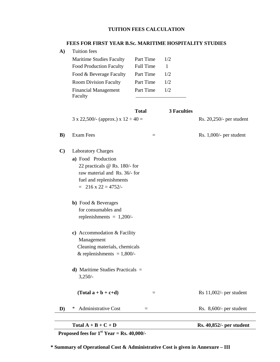# **TUITION FEES CALCULATION**

## **FEES FOR FIRST YEAR B.Sc. MARITIME HOSPITALITY STUDIES**

**A)** Tuition fees

| Part Time        | 1/2 |
|------------------|-----|
| <b>Full Time</b> |     |
| Part Time        | 1/2 |
| Part Time        | 1/2 |
| Part Time        | 1/2 |
|                  |     |

|              | <b>Total</b>                                                                                                                                                                                                                                                                                   |                   | <b>3 Faculties</b> |                            |
|--------------|------------------------------------------------------------------------------------------------------------------------------------------------------------------------------------------------------------------------------------------------------------------------------------------------|-------------------|--------------------|----------------------------|
|              | $3 \times 22,500$ /- (approx.) $x 12 \div 40 =$                                                                                                                                                                                                                                                |                   |                    | Rs. 20,250/- per student   |
| $\bf{B}$     | <b>Exam Fees</b>                                                                                                                                                                                                                                                                               | $\qquad \qquad =$ |                    | Rs. $1,000/-$ per student  |
| $\mathbf{C}$ | <b>Laboratory Charges</b><br>a) Food Production<br>22 practicals @ Rs. 180/- for<br>raw material and Rs. 36/- for<br>fuel and replenishments<br>$= 216 \times 22 = 4752/$<br><b>b</b> ) Food & Beverages<br>for consumables and<br>replenishments = $1,200/-$<br>c) Accommodation $&$ Facility |                   |                    |                            |
|              | Management<br>Cleaning materials, chemicals<br>& replenishments = $1,800/-$<br><b>d</b> ) Maritime Studies Practicals $=$<br>3,250/<br>$(Total a + b + c+d)$                                                                                                                                   | $=$               |                    | Rs $11,002/$ - per student |
| D)           | <b>Administrative Cost</b><br>$\ast$<br>$=$                                                                                                                                                                                                                                                    |                   |                    | Rs. 8,600/- per student    |

| Total $A + B + C + D$ | <b>Rs. 40,852/- per student</b> |
|-----------------------|---------------------------------|
|                       |                                 |

 $\overline{\phantom{0}}$ 

**Proposed fees for**  $1<sup>st</sup>$  **Year = Rs. 40,000/-**

**\* Summary of Operational Cost & Administrative Cost is given in Annexure – III**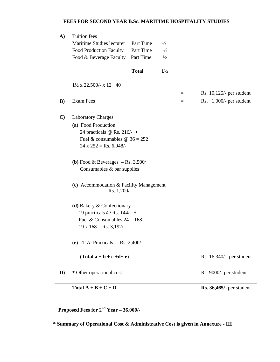## **FEES FOR SECOND YEAR B.Sc. MARITIME HOSPITALITY STUDIES**

|              | Total $A + B + C + D$                                  |              |                |     | <b>Rs. 36,465/-</b> per student |
|--------------|--------------------------------------------------------|--------------|----------------|-----|---------------------------------|
| D)           | * Other operational cost                               |              |                | Ξ   | Rs. 9000/- per student          |
|              | $(Total a + b + c + d + e)$                            |              |                | $=$ | Rs. 16,340/- per student        |
|              | (e) I.T.A. Practicals = Rs. 2,400/-                    |              |                |     |                                 |
|              | $19 \times 168 =$ Rs. 3,192/-                          |              |                |     |                                 |
|              | Fuel & Consumables $24 = 168$                          |              |                |     |                                 |
|              | 19 practicals $\omega$ Rs. 144/- +                     |              |                |     |                                 |
|              | (d) Bakery & Confectionary                             |              |                |     |                                 |
|              | (c) Accommodation & Facility Management<br>Rs. 1,200/- |              |                |     |                                 |
|              | Consumables & bar supplies                             |              |                |     |                                 |
|              | (b) Food & Beverages $-$ Rs. 3,500/                    |              |                |     |                                 |
|              | $24 \times 252 =$ Rs. 6,048/-                          |              |                |     |                                 |
|              | Fuel & consumables $\omega$ 36 = 252                   |              |                |     |                                 |
|              | 24 practicals @ Rs. 216/- +                            |              |                |     |                                 |
|              | (a) Food Production                                    |              |                |     |                                 |
| $\mathbf{C}$ | <b>Laboratory Charges</b>                              |              |                |     |                                 |
| B)           | <b>Exam Fees</b>                                       |              |                | $=$ | Rs. $1,000/-$ per student       |
|              |                                                        |              |                | $=$ | $Rs$ 10,125/- per student       |
|              | $1\frac{1}{2}$ x 22,500/- x 12 $\div$ 40               |              |                |     |                                 |
|              |                                                        | <b>Total</b> | $1\frac{1}{2}$ |     |                                 |
|              | Food & Beverage Faculty                                | Part Time    | $\frac{1}{2}$  |     |                                 |
|              | <b>Food Production Faculty</b>                         | Part Time    | $\frac{1}{2}$  |     |                                 |
|              | Maritime Studies lecturer                              | Part Time    | $\frac{1}{2}$  |     |                                 |
| $\mathbf{A}$ | <b>Tuition</b> fees                                    |              |                |     |                                 |

 **Proposed Fees for 2nd Year – 36,000/-** 

 **\* Summary of Operational Cost & Administrative Cost is given in Annexure - III**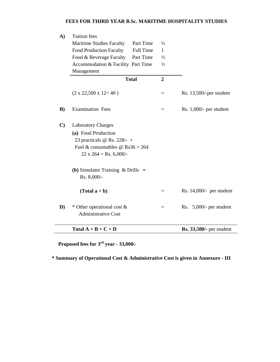## **FEES FOR THIRD YEAR B.Sc. MARITIME HOSPITALITY STUDIES**

| A)           | <b>Tuition</b> fees                           |                |                                 |
|--------------|-----------------------------------------------|----------------|---------------------------------|
|              | Maritime Studies Faculty Part Time            | $\frac{1}{2}$  |                                 |
|              | Full Time<br><b>Food Production Faculty</b>   | 1              |                                 |
|              | Food & Beverage Faculty Part Time             | $\frac{1}{2}$  |                                 |
|              | Accommodation & Facility Part Time            | $\frac{1}{2}$  |                                 |
|              | Management                                    |                |                                 |
|              | <b>Total</b>                                  | $\overline{2}$ |                                 |
|              | $(2 \times 22,500 \times 12 \div 40)$         | $=$            | Rs. 13,500/-per student         |
| B)           | <b>Examination Fees</b>                       | $=$            | Rs. $1,000/-$ per student       |
| $\mathbf{C}$ | <b>Laboratory Charges</b>                     |                |                                 |
|              | (a) Food Production                           |                |                                 |
|              | 23 practicals @ Rs. 228/- +                   |                |                                 |
|              | Fuel & consumables @ $\text{Rs}36 = 264$      |                |                                 |
|              | $22 \times 264 = \text{Rs. } 6,000/$          |                |                                 |
|              | ( <b>b</b> ) Simulator Training $\&$ Drills = |                |                                 |
|              | Rs. 8,000/-                                   |                |                                 |
|              | $(Total a + b)$                               | $\equiv$       | Rs. $14,000/-$ per student      |
| $\mathbf{D}$ | * Other operational cost &                    | $=$            | Rs. $5,000/$ - per student      |
|              | <b>Administrative Cost</b>                    |                |                                 |
|              | Total $A + B + C + D$                         |                | <b>Rs. 33,500/-</b> per student |

 **Proposed fees for 3rd year - 33,000/-** 

 **\* Summary of Operational Cost & Administrative Cost is given in Annexure - III**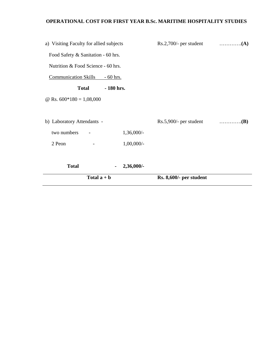# **OPERATIONAL COST FOR FIRST YEAR B.Sc. MARITIME HOSPITALITY STUDIES**

| Total $a + b$                           |                 | Rs. 8,600/- per student |  |
|-----------------------------------------|-----------------|-------------------------|--|
| <b>Total</b>                            | 2,36,000/-<br>۰ |                         |  |
| 2 Peon                                  | $1,00,000/-$    |                         |  |
| two numbers                             | $1,36,000/-$    |                         |  |
| b) Laboratory Attendants -              |                 |                         |  |
| @ Rs. $600*180 = 1,08,000$              |                 |                         |  |
| <b>Total</b>                            | - 180 hrs.      |                         |  |
| <b>Communication Skills</b>             | $-60$ hrs.      |                         |  |
| Nutrition & Food Science - 60 hrs.      |                 |                         |  |
| Food Safety & Sanitation - 60 hrs.      |                 |                         |  |
| a) Visiting Faculty for allied subjects |                 |                         |  |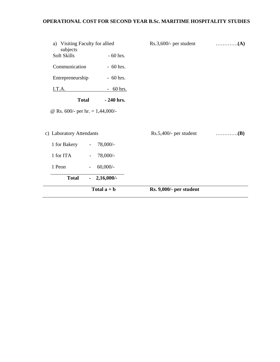# **OPERATIONAL COST FOR SECOND YEAR B.Sc. MARITIME HOSPITALITY STUDIES**

|                                                           |                          | Total $a + b$ | Rs. 9,000/- per student   |                                   |
|-----------------------------------------------------------|--------------------------|---------------|---------------------------|-----------------------------------|
| <b>Total</b>                                              | $\sim$                   | $2,16,000/$ - |                           |                                   |
| 1 Peon                                                    | $\overline{\phantom{a}}$ | $60,000/-$    |                           |                                   |
| 1 for ITA                                                 | $\overline{\phantom{0}}$ | 78,000/-      |                           |                                   |
| 1 for Bakery                                              | $\overline{\phantom{a}}$ | 78,000/-      |                           |                                   |
| c) Laboratory Attendants                                  |                          |               | $Rs.5,400/$ - per student | $\ldots \ldots \ldots \ldots (B)$ |
| @ Rs. 600/- per hr. $= 1,44,000/$ -                       |                          |               |                           |                                   |
| <b>Total</b>                                              |                          | $-240$ hrs.   |                           |                                   |
| I.T.A.                                                    |                          | $-60$ hrs.    |                           |                                   |
| Entrepreneurship                                          |                          | $-60$ hrs.    |                           |                                   |
| Communication                                             |                          | $-60$ hrs.    |                           |                                   |
| a) Visiting Faculty for allied<br>subjects<br>Soft Skills |                          | $-60$ hrs.    | $Rs.3,600/$ - per student | $\dots\dots\dots\dots\dots(A)$    |
|                                                           |                          |               |                           |                                   |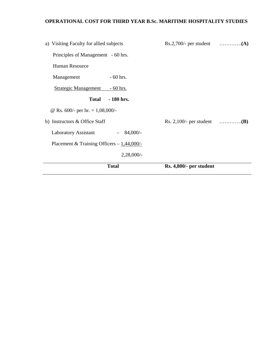# **OPERATIONAL COST FOR THIRD YEAR B.Sc. MARITIME HOSPITALITY STUDIES**

| a) Visiting Faculty for allied subjects         |                                                     |  |
|-------------------------------------------------|-----------------------------------------------------|--|
| Principles of Management - 60 hrs.              |                                                     |  |
| Human Resource                                  |                                                     |  |
| $-60$ hrs.<br>Management                        |                                                     |  |
| <b>Strategic Management</b><br><u>- 60 hrs.</u> |                                                     |  |
| $-180$ hrs.<br><b>Total</b>                     |                                                     |  |
| @ Rs. 600/- per hr. $= 1,08,000/$ -             |                                                     |  |
| b) Instructors & Office Staff                   | Rs. 2,100/- per student $\dots\dots\dots\dots\dots$ |  |
| <b>Laboratory Assistant</b><br>$84,000/-$       |                                                     |  |
| Placement & Training Officers $-1,44,000/-$     |                                                     |  |
| $2,28,000/$ -                                   |                                                     |  |
| <b>Total</b>                                    | Rs. 4,800/- per student                             |  |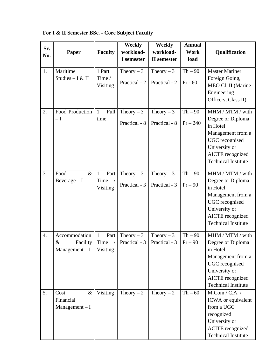| Sr.<br>No. | Paper                                                 | <b>Faculty</b>                                         | Weekly<br>workload-<br>I semester | Weekly<br>workload-<br><b>II</b> semester | <b>Annual</b><br>Work<br>load | Qualification                                                                                                                                                      |
|------------|-------------------------------------------------------|--------------------------------------------------------|-----------------------------------|-------------------------------------------|-------------------------------|--------------------------------------------------------------------------------------------------------------------------------------------------------------------|
| 1.         | Maritime<br>Studies - I & II                          | 1 Part<br>Time /<br>Visiting                           | Theory $-3$<br>Practical - 2      | Theory $-3$<br>Practical - 2              | $Th-90$<br>$Pr - 60$          | <b>Master Mariner</b><br>Foreign Going,<br>MEO Cl. II (Marine<br>Engineering<br>Officers, Class II)                                                                |
| 2.         | Food Production<br>$-\mathrm{I}$                      | Full<br>$\mathbf{1}$<br>time                           | Theory $-3$<br>Practical - 8      | Theory $-3$<br>Practical - 8              | $Th-90$<br>$Pr - 240$         | MHM / MTM / with<br>Degree or Diploma<br>in Hotel<br>Management from a<br><b>UGC</b> recognised<br>University or<br>AICTE recognized<br><b>Technical Institute</b> |
| 3.         | $\&$<br>Food<br>Beverage $-I$                         | $\mathbf{1}$<br>Part<br>Time<br>Visiting               | Theory $-3$<br>Practical - 3      | Theory $-3$<br>Practical - 3              | $Th-90$<br>$Pr-90$            | MHM / MTM / with<br>Degree or Diploma<br>in Hotel<br>Management from a<br>UGC recognised<br>University or<br>AICTE recognized<br><b>Technical Institute</b>        |
| 4.         | Accommodation<br>$\&$<br>Facility<br>$Management - I$ | $\mathbf{1}$<br>Part<br>Time<br>$\sqrt{2}$<br>Visiting | Theory $-3$<br>Practical - 3      | Theory $-3$<br>Practical - 3              | $Th-90$<br>$Pr-90$            | MHM / MTM / with<br>Degree or Diploma<br>in Hotel<br>Management from a<br><b>UGC</b> recognised<br>University or<br>AICTE recognized<br><b>Technical Institute</b> |
| 5.         | $\&$<br>Cost<br>Financial<br>$Management - I$         | Visiting                                               | Theory $-2$                       | Theory $-2$                               | $Th - 60$                     | $M_{\cdot}$ Com / C.A. /<br>ICWA or equivalent<br>from a UGC<br>recognized<br>University or<br><b>ACITE</b> recognized<br><b>Technical Institute</b>               |

**For I & II Semester BSc. - Core Subject Faculty**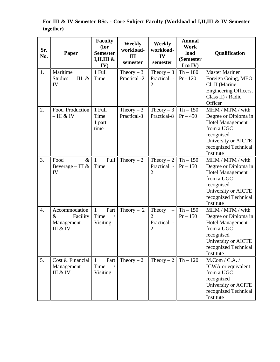**Sr. No. Paper Faculty (for Semester I,II,III & IV) Weekly workload-III semester Weekly workload-IV semester Annual Work load (Semester I to IV) Qualification**  1. Maritime Studies – III & IV 1 Full Time Theory  $-3$ Practical -2 Theory  $-3$ Practical - 2 Th – 180 Pr - 120 Master Mariner Foreign Going, MEO Cl. II (Marine Engineering Officers, Class II) / Radio **Officer** 2. Food Production  $-$  III & IV 1 Full Time + 1 part time Theory  $-3$ Practical-8 Theory  $-3$ Practical-8 Th – 150  $Pr - 450$ MHM / MTM / with Degree or Diploma in Hotel Management from a UGC recognised University or AICTE recognized Technical Institute 3. Food & Beverage – III & IV 1 Full Time Theory – 2 Theory – 2 Practical - 2  $Th - 150$  $Pr - 150$ MHM / MTM / with Degree or Diploma in Hotel Management from a UGC recognised University or AICTE recognized Technical Institute 4. Accommodation & Facility Management – III & IV 1 Part Time Visiting Theory – 2 Theory 2 Practical - 2  $Th - 150$  $Pr - 150$ MHM / MTM / with Degree or Diploma in Hotel Management from a UGC recognised University or AICTE recognized Technical Institute 5. Cost & Financial Management III & IV 1 Part Time Visiting Theory – 2 Theory – 2 Th – 120 M.Com / C.A. / ICWA or equivalent from a UGC recognized University or ACITE recognized Technical Institute

**For III & IV Semester BSc. - Core Subject Faculty (Workload of I,II,III & IV Semester together)**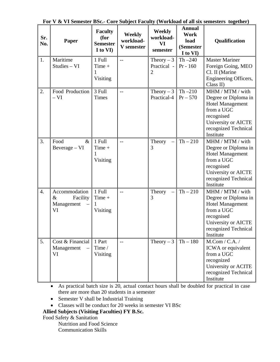| Sr.<br>No.       | Paper                                                 | <b>Faculty</b><br>(for<br><b>Semester</b><br>I to VI) | <b>Weekly</b><br>workload-<br>V semester | <b>Weekly</b><br>workload-<br><b>VI</b><br>semester | <b>Annual</b><br><b>Work</b><br>load<br>(Semester<br>I to VI) | Qualification                                                                                                                                               |
|------------------|-------------------------------------------------------|-------------------------------------------------------|------------------------------------------|-----------------------------------------------------|---------------------------------------------------------------|-------------------------------------------------------------------------------------------------------------------------------------------------------------|
| 1.               | Maritime<br>Studies - VI                              | 1 Full<br>Time +<br>Visiting                          | $-$                                      | Theory $-3$<br>Practical -<br>$\overline{2}$        | $Th - 240$<br>$Pr - 160$                                      | <b>Master Mariner</b><br>Foreign Going, MEO<br>Cl. II (Marine<br>Engineering Officers,<br>Class II)                                                         |
| 2.               | Food Production<br>$-VI$                              | 3 Full<br><b>Times</b>                                | $-$                                      | Theory $-3$<br>Practical-4                          | $Th-210$<br>$Pr - 570$                                        | MHM / MTM / with<br>Degree or Diploma in<br><b>Hotel Management</b><br>from a UGC<br>recognised<br>University or AICTE<br>recognized Technical<br>Institute |
| 3.               | Food<br>$\&$<br>Beverage - VI                         | 1 Full<br>$Time +$<br>1<br>Visiting                   | $-$                                      | Theory<br>3                                         | $Th - 210$                                                    | MHM / MTM / with<br>Degree or Diploma in<br><b>Hotel Management</b><br>from a UGC<br>recognised<br>University or AICTE<br>recognized Technical<br>Institute |
| $\overline{4}$ . | Accommodation<br>$\&$<br>Facility<br>Management<br>VI | 1 Full<br>$Time +$<br>1<br>Visiting                   | $-$                                      | Theory<br>3                                         | $Th-210$                                                      | MHM / MTM / with<br>Degree or Diploma in<br><b>Hotel Management</b><br>from a UGC<br>recognised<br>University or AICTE<br>recognized Technical<br>Institute |
| 5.               | Cost & Financial<br>Management<br>VI                  | 1 Part<br>Time /<br>Visiting                          | $-$                                      | Theory $-3$                                         | $Th - 180$                                                    | $M_{\cdot}$ Com / C.A. /<br>ICWA or equivalent<br>from a UGC<br>recognized<br>University or ACITE<br>recognized Technical<br>Institute                      |

**For V & VI Semester BSc.- Core Subject Faculty (Workload of all six semesters together)** 

• As practical batch size is 20, actual contact hours shall be doubled for practical in case there are more than 20 students in a semester

- Semester V shall be Industrial Training
- Classes will be conduct for 20 weeks in semester VI BSc

**Allied Subjects (Visiting Faculties) FY B.Sc.** 

Food Safety & Sanitation

Nutrition and Food Science Communication Skills